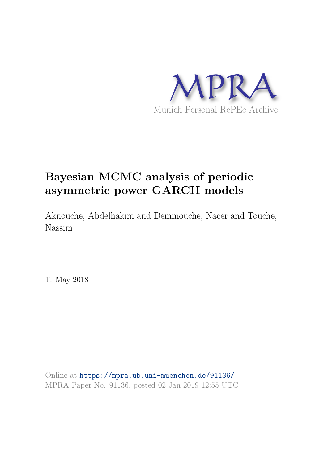

# **Bayesian MCMC analysis of periodic asymmetric power GARCH models**

Aknouche, Abdelhakim and Demmouche, Nacer and Touche, Nassim

11 May 2018

Online at https://mpra.ub.uni-muenchen.de/91136/ MPRA Paper No. 91136, posted 02 Jan 2019 12:55 UTC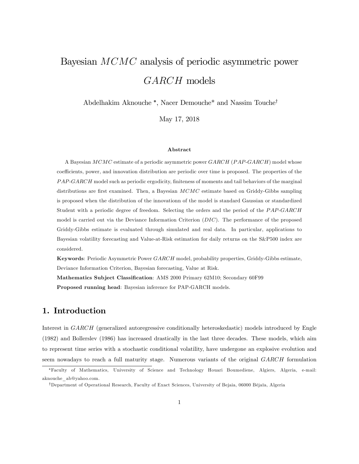# Bayesian MCMC analysis of periodic asymmetric power GARCH models

Abdelhakim Aknouche<sup>\*</sup>, Nacer Demouche<sup>\*</sup> and Nassim Touche<sup>†</sup>

May 17, 2018

#### Abstract

A Bayesian MCMC estimate of a periodic asymmetric power GARCH (PAP-GARCH) model whose coefficients, power, and innovation distribution are periodic over time is proposed. The properties of the PAP-GARCH model such as periodic ergodicity, finiteness of moments and tail behaviors of the marginal distributions are first examined. Then, a Bayesian  $MCMC$  estimate based on Griddy-Gibbs sampling is proposed when the distribution of the innovationn of the model is standard Gaussian or standardized Student with a periodic degree of freedom. Selecting the orders and the period of the PAP-GARCH model is carried out via the Deviance Information Criterion (DIC). The performance of the proposed Griddy-Gibbs estimate is evaluated through simulated and real data. In particular, applications to Bayesian volatility forecasting and Value-at-Risk estimation for daily returns on the S&P500 index are considered.

Keywords: Periodic Asymmetric Power GARCH model, probability properties, Griddy-Gibbs estimate, Deviance Information Criterion, Bayesian forecasting, Value at Risk.

Mathematics Subject Classification: AMS 2000 Primary 62M10; Secondary 60F99 Proposed running head: Bayesian inference for PAP-GARCH models.

### 1. Introduction

Interest in GARCH (generalized autoregressive conditionally heteroskedastic) models introduced by Engle (1982) and Bollerslev (1986) has increased drastically in the last three decades. These models, which aim to represent time series with a stochastic conditional volatility, have undergone an explosive evolution and seem nowadays to reach a full maturity stage. Numerous variants of the original GARCH formulation

Faculty of Mathematics, University of Science and Technology Houari Boumediene, Algiers, Algeria, e-mail: aknouche\_ab@yahoo.com.

<sup>&</sup>lt;sup>†</sup>Department of Operational Research, Faculty of Exact Sciences, University of Bejaia, 06000 Béjaïa, Algeria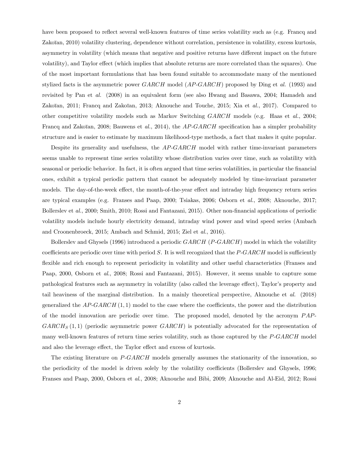have been proposed to reflect several well-known features of time series volatility such as (e.g. Francq and Zakoïan, 2010) volatility clustering, dependence without correlation, persistence in volatility, excess kurtosis, asymmetry in volatility (which means that negative and positive returns have different impact on the future volatility), and Taylor effect (which implies that absolute returns are more correlated than the squares). One of the most important formulations that has been found suitable to accommodate many of the mentioned stylized facts is the asymmetric power  $GARCH$  model  $(AP-GARCH)$  proposed by Ding et al. (1993) and revisited by Pan et al. (2008) in an equivalent form (see also Hwang and Basawa, 2004; Hamadeh and Zakoïan, 2011; Francq and Zakoïan, 2013; Aknouche and Touche, 2015; Xia et  $al.$ , 2017). Compared to other competitive volatility models such as Markov Switching GARCH models (e.g. Haas et al., 2004; Francq and Zakoïan, 2008; Bauwens et al., 2014), the  $AP-GARCH$  specification has a simpler probability structure and is easier to estimate by maximum likelihood-type methods, a fact that makes it quite popular.

Despite its generality and usefulness, the AP-GARCH model with rather time-invariant parameters seems unable to represent time series volatility whose distribution varies over time, such as volatility with seasonal or periodic behavior. In fact, it is often argued that time series volatilities, in particular the financial ones, exhibit a typical periodic pattern that cannot be adequately modeled by time-invariant parameter models. The day-of-the-week effect, the month-of-the-year effect and intraday high frequency return series are typical examples (e.g. Franses and Paap, 2000; Tsiakas, 2006; Osborn et al., 2008; Aknouche, 2017; Bollerslev et al., 2000; Smith, 2010; Rossi and Fantazani, 2015). Other non-Önancial applications of periodic volatility models include hourly electricity demand, intraday wind power and wind speed series (Ambach and Croonenbroeck, 2015; Ambach and Schmid, 2015; Ziel et al., 2016).

Bollerslev and Ghysels (1996) introduced a periodic GARCH (P-GARCH) model in which the volatility coefficients are periodic over time with period  $S$ . It is well recognized that the  $P\text{-}GARCH$  model is sufficiently flexible and rich enough to represent periodicity in volatility and other useful characteristics (Franses and Paap, 2000, Osborn et al., 2008; Rossi and Fantazani, 2015). However, it seems unable to capture some pathological features such as asymmetry in volatility (also called the leverage effect), Taylor's property and tail heaviness of the marginal distribution. In a mainly theoretical perspective, Aknouche et al. (2018) generalized the  $AP\text{-}GARCH(1,1)$  model to the case where the coefficients, the power and the distribution of the model innovation are periodic over time. The proposed model, denoted by the acronym  $PAP GARCH<sub>S</sub>(1,1)$  (periodic asymmetric power  $GARCH$ ) is potentially advocated for the representation of many well-known features of return time series volatility, such as those captured by the P-GARCH model and also the leverage effect, the Taylor effect and excess of kurtosis.

The existing literature on P-GARCH models generally assumes the stationarity of the innovation, so the periodicity of the model is driven solely by the volatility coefficients (Bollerslev and Ghysels, 1996; Franses and Paap, 2000, Osborn et al., 2008; Aknouche and Bibi, 2009; Aknouche and Al-Eid, 2012; Rossi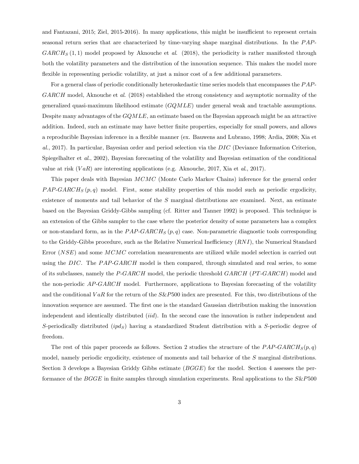and Fantazani, 2015; Ziel, 2015-2016). In many applications, this might be insufficient to represent certain seasonal return series that are characterized by time-varying shape marginal distributions. In the PAP- $GARCH_S(1,1)$  model proposed by Aknouche et al. (2018), the periodicity is rather manifested through both the volatility parameters and the distribution of the innovation sequence. This makes the model more flexible in representing periodic volatility, at just a minor cost of a few additional parameters.

For a general class of periodic conditionally heteroskedastic time series models that encompasses the PAP-GARCH model, Aknouche et al. (2018) established the strong consistency and asymptotic normality of the generalized quasi-maximum likelihood estimate  $(GQMLE)$  under general weak and tractable assumptions. Despite many advantages of the GQMLE, an estimate based on the Bayesian approach might be an attractive addition. Indeed, such an estimate may have better finite properties, especially for small powers, and allows a reproducible Bayesian inference in a áexible manner (ex. Bauwens and Lubrano, 1998; Ardia, 2008; Xia et al., 2017). In particular, Bayesian order and period selection via the DIC (Deviance Information Criterion, Spiegelhalter et al., 2002), Bayesian forecasting of the volatility and Bayesian estimation of the conditional value at risk  $(VaR)$  are interesting applications (e.g. Aknouche, 2017, Xia et al., 2017).

This paper deals with Bayesian MCMC (Monte Carlo Markov Chains) inference for the general order  $PAP\text{-}GARCH<sub>S</sub>(p, q)$  model. First, some stability properties of this model such as periodic ergodicity, existence of moments and tail behavior of the S marginal distributions are examined. Next, an estimate based on the Bayesian Griddy-Gibbs sampling (cf. Ritter and Tanner 1992) is proposed. This technique is an extension of the Gibbs sampler to the case where the posterior density of some parameters has a complex or non-standard form, as in the  $PAP-GARCH_S(p,q)$  case. Non-parametric diagnostic tools corresponding to the Griddy-Gibbs procedure, such as the Relative Numerical Inefficiency  $(RNI)$ , the Numerical Standard Error (NSE) and some MCMC correlation measurements are utilized while model selection is carried out using the DIC. The PAP-GARCH model is then compared, through simulated and real series, to some of its subclasses, namely the  $P\text{-}GARCH$  model, the periodic threshold  $GARCH$  ( $PT\text{-}GARCH$ ) model and the non-periodic AP-GARCH model. Furthermore, applications to Bayesian forecasting of the volatility and the conditional VaR for the return of the  $S\&P500$  index are presented. For this, two distributions of the innovation sequence are assumed. The first one is the standard Gaussian distribution making the innovation independent and identically distributed *(iid)*. In the second case the innovation is rather independent and S-periodically distributed  $(i\rho d_S)$  having a standardized Student distribution with a S-periodic degree of freedom.

The rest of this paper proceeds as follows. Section 2 studies the structure of the  $PAP\text{-}GARCH_S(p,q)$ model, namely periodic ergodicity, existence of moments and tail behavior of the S marginal distributions. Section 3 develops a Bayesian Griddy Gibbs estimate (BGGE) for the model. Section 4 assesses the performance of the BGGE in finite samples through simulation experiments. Real applications to the  $S\&P500$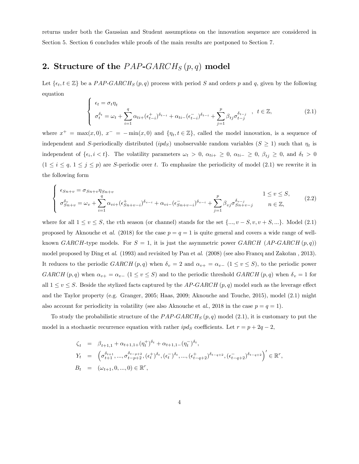returns under both the Gaussian and Student assumptions on the innovation sequence are considered in Section 5. Section 6 concludes while proofs of the main results are postponed to Section 7.

## 2. Structure of the  $PAP\text{-}GARCH_S(p,q)$  model

 $\epsilon$ 

Let  $\{\epsilon_t, t \in \mathbb{Z}\}\$  be a PAP-GARCH<sub>S</sub> (p, q) process with period S and orders p and q, given by the following equation

$$
\begin{cases}\n\epsilon_t = \sigma_t \eta_t \\
\sigma_t^{\delta_t} = \omega_t + \sum_{i=1}^q \alpha_{ti} + (\epsilon_{t-i}^+)^{\delta_{t-i}} + \alpha_{ti} - (\epsilon_{t-i}^-)^{\delta_{t-i}} + \sum_{j=1}^p \beta_{tj} \sigma_{t-j}^{\delta_{t-j}} , \quad t \in \mathbb{Z},\n\end{cases} (2.1)
$$

where  $x^+ = \max(x, 0)$ ,  $x^- = -\min(x, 0)$  and  $\{\eta_t, t \in \mathbb{Z}\}$ , called the model innovation, is a sequence of independent and S-periodically distributed  $(ipd<sub>S</sub>)$  unobservable random variables  $(S \geq 1)$  such that  $\eta_t$  is independent of  $\{\epsilon_i, i < t\}$ . The volatility parameters  $\omega_t > 0$ ,  $\alpha_{ti+} \geq 0$ ,  $\alpha_{ti-} \geq 0$ ,  $\beta_{tj} \geq 0$ , and  $\delta_t > 0$  $(1 \leq i \leq q, 1 \leq j \leq p)$  are S-periodic over t. To emphasize the periodicity of model (2.1) we rewrite it in the following form

$$
\begin{cases}\n\epsilon_{Sn+v} = \sigma_{Sn+v} \eta_{Sn+v} \\
\sigma_{Sn+v}^{\delta_v} = \omega_v + \sum_{i=1}^q \alpha_{vi+} (\epsilon_{Sn+v-i}^+)^{\delta_{v-i}} + \alpha_{vi-} (\epsilon_{Sn+v-i}^-)^{\delta_{v-i}} + \sum_{j=1}^p \beta_{vj} \sigma_{Sn+v-j}^{\delta_{v-j}} \\
n \in \mathbb{Z},\n\end{cases}
$$
\n(2.2)

where for all  $1 \le v \le S$ , the vth season (or channel) stands for the set  $\{..., v - S, v, v + S, ...\}$ . Model (2.1) proposed by Aknouche et al. (2018) for the case  $p = q = 1$  is quite general and covers a wide range of wellknown GARCH-type models. For  $S = 1$ , it is just the asymmetric power GARCH  $(AP-GARCH(p, q))$ model proposed by Ding et al.  $(1993)$  and revisited by Pan et al.  $(2008)$  (see also Francq and Zakoïan, 2013). It reduces to the periodic  $GARCH(p, q)$  when  $\delta_v = 2$  and  $\alpha_{v+} = \alpha_{v-}$   $(1 \le v \le S)$ , to the periodic power GARCH  $(p, q)$  when  $\alpha_{v+} = \alpha_{v-}$   $(1 \le v \le S)$  and to the periodic threshold GARCH  $(p, q)$  when  $\delta_v = 1$  for all  $1 \le v \le S$ . Beside the stylized facts captured by the AP-GARCH  $(p, q)$  model such as the leverage effect and the Taylor property (e.g. Granger, 2005; Haas, 2009; Aknouche and Touche, 2015), model (2:1) might also account for periodicity in volatility (see also Aknouche et al., 2018 in the case  $p = q = 1$ ).

To study the probabilistic structure of the  $PAP\text{-}GARCH<sub>S</sub>(p,q)$  model (2.1), it is customary to put the model in a stochastic recurrence equation with rather  $ipd_S$  coefficients. Let  $r = p + 2q - 2$ ,

$$
\begin{array}{rcl}\n\zeta_t &=& \beta_{t+1,1} + \alpha_{t+1,1+}(\eta_t^+)^{\delta_t} + \alpha_{t+1,1-}(\eta_t^-)^{\delta_t}, \\
Y_t &=& \left(\sigma_{t+1}^{\delta_{t+1}}, \ldots, \sigma_{t-p+2}^{\delta_{t-p+2}}, (\epsilon_t^+)^{\delta_t}, (\epsilon_t^-)^{\delta_t}, \ldots, (\epsilon_{t-q+2}^+)^{\delta_{t-q+2}}, (\epsilon_{t-q+2}^-)^{\delta_{t-q+2}}\right)' \in \mathbb{R}^r, \\
B_t &=& (\omega_{t+1}, 0, \ldots, 0) \in \mathbb{R}^r,\n\end{array}
$$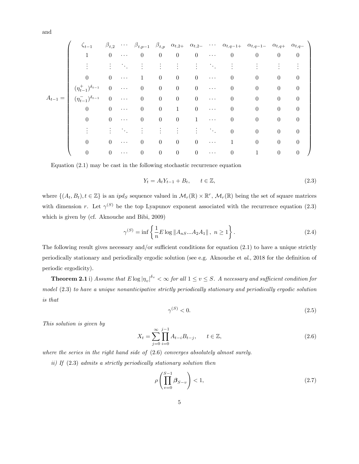and

$$
A_{t-1} = \begin{pmatrix} \zeta_{t-1} & \beta_{t,2} & \cdots & \beta_{t,p-1} & \beta_{t,p} & \alpha_{t,2+} & \alpha_{t,2-} & \cdots & \alpha_{t,q-1+} & \alpha_{t,q-1-} & \alpha_{t,q+} & \alpha_{t,q-} \\ 1 & 0 & \cdots & 0 & 0 & 0 & \cdots & 0 & 0 & 0 & 0 \\ \vdots & \vdots & \ddots & \vdots & \vdots & \vdots & \ddots & \vdots & \vdots & \vdots \\ 0 & 0 & \cdots & 1 & 0 & 0 & 0 & \cdots & 0 & 0 & 0 & 0 \\ (\eta_{t-1}^+)^{\delta_{t-1}} & 0 & \cdots & 0 & 0 & 0 & \cdots & 0 & 0 & 0 & 0 \\ 0 & 0 & \cdots & 0 & 0 & 0 & 0 & \cdots & 0 & 0 & 0 & 0 \\ 0 & 0 & \cdots & 0 & 0 & 1 & 0 & \cdots & 0 & 0 & 0 & 0 \\ \vdots & \vdots & \vdots & \ddots & \vdots & \vdots & \vdots & \vdots & \ddots & 0 & 0 & 0 & 0 \\ 0 & 0 & \cdots & 0 & 0 & 0 & 0 & \cdots & 1 & 0 & 0 & 0 \\ 0 & 0 & \cdots & 0 & 0 & 0 & 0 & \cdots & 1 & 0 & 0 & 0 \\ \end{pmatrix}
$$

Equation (2:1) may be cast in the following stochastic recurrence equation

$$
Y_t = A_t Y_{t-1} + B_t, \qquad t \in \mathbb{Z},\tag{2.3}
$$

where  $\{(A_t, B_t), t \in \mathbb{Z}\}\$ is an  $ipd_S$  sequence valued in  $\mathcal{M}_r(\mathbb{R}) \times \mathbb{R}^r$ ,  $\mathcal{M}_r(\mathbb{R})$  being the set of square matrices with dimension r. Let  $\gamma^{(S)}$  be the top Lyapunov exponent associated with the recurrence equation (2.3) which is given by (cf. Aknouche and Bibi, 2009)

$$
\gamma^{(S)} = \inf \left\{ \frac{1}{n} E \log \| A_{nS} ... A_2 A_1 \|, \ n \ge 1 \right\}.
$$
 (2.4)

The following result gives necessary and/or sufficient conditions for equation  $(2.1)$  to have a unique strictly periodically stationary and periodically ergodic solution (see e.g. Aknouche et al., 2018 for the definition of periodic ergodicity).

**Theorem 2.1** i) Assume that  $E \log |\eta_v|^{ \delta_v} < \infty$  for all  $1 \le v \le S$ . A necessary and sufficient condition for model (2:3) to have a unique nonanticipative strictly periodically stationary and periodically ergodic solution is that

$$
\gamma^{(S)} < 0. \tag{2.5}
$$

This solution is given by

$$
X_t = \sum_{j=0}^{\infty} \prod_{i=0}^{j-1} A_{t-i} B_{t-j}, \qquad t \in \mathbb{Z},
$$
\n(2.6)

where the series in the right hand side of  $(2.6)$  converges absolutely almost surely.

ii) If  $(2.3)$  admits a strictly periodically stationary solution then

$$
\rho\left(\prod_{v=0}^{S-1}\beta_{S-v}\right) < 1,\tag{2.7}
$$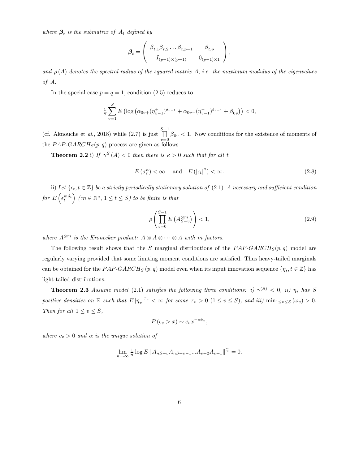where  $\beta_t$  is the submatrix of  $A_t$  defined by

$$
\boldsymbol{\beta}_t = \begin{pmatrix} \beta_{t,1} \beta_{t,2} \dots \beta_{t,p-1} & \beta_{t,p} \\ I_{(p-1)\times(p-1)} & 0_{(p-1)\times 1} \end{pmatrix},
$$

and  $\rho(A)$  denotes the spectral radius of the squared matrix A, i.e. the maximum modulus of the eigenvalues of A.

In the special case  $p = q = 1$ , condition (2.5) reduces to

$$
\frac{1}{S} \sum_{v=1}^{S} E \left( \log \left( \alpha_{0v+} (\eta_{v-1}^+) ^{\delta_{v-1}} + \alpha_{0v-} (\eta_{v-1}^-)^{\delta_{v-1}} + \beta_{0v} \right) \right) < 0,
$$

(cf. Aknouche et al., 2018) while  $(2.7)$  is just  $\prod^{S-1}$  $\prod_{v=0} \beta_{0v} < 1$ . Now conditions for the existence of moments of the  $PAP\text{-}GARCH_S(p,q)$  process are given as follows.

**Theorem 2.2** i) If  $\gamma^{S}(A) < 0$  then there is  $\kappa > 0$  such that for all t

$$
E(\sigma_t^{\kappa}) < \infty \quad \text{and} \quad E(|\epsilon_t|^{\kappa}) < \infty. \tag{2.8}
$$

ii) Let  $\{\epsilon_t, t \in \mathbb{Z}\}\$  be a strictly periodically stationary solution of (2.1). A necessary and sufficient condition for  $E\left(\epsilon_t^{m\delta_t}\right)$  ( $m \in \mathbb{N}^*, 1 \le t \le S$ ) to be finite is that

$$
\rho\left(\prod_{v=0}^{S-1} E\left(A_{S-v}^{\otimes m}\right)\right) < 1,\tag{2.9}
$$

where  $A^{\otimes m}$  is the Kronecker product:  $A \otimes A \otimes \cdots \otimes A$  with m factors.

The following result shows that the S marginal distributions of the  $PAP\text{-}GARCH_S(p,q)$  model are regularly varying provided that some limiting moment conditions are satisfied. Thus heavy-tailed marginals can be obtained for the  $PAP\text{-}GARCH_S(p, q)$  model even when its input innovation sequence  $\{\eta_t, t \in \mathbb{Z}\}$  has light-tailed distributions.

**Theorem 2.3** Assume model (2.1) satisfies the following three conditions: i)  $\gamma^{(S)} < 0$ , ii)  $\eta_t$  has S positive densities on  $\mathbb R$  such that  $E |\eta_v|^{r_v} < \infty$  for some  $\tau_v > 0$   $(1 \le v \le S)$ , and iii)  $\min_{1 \le v \le S} (\omega_v) > 0$ . Then for all  $1 \le v \le S$ ,

$$
P\left(\epsilon_v > x\right) \sim c_v x^{-\alpha \delta_v},
$$

where  $c_v > 0$  and  $\alpha$  is the unique solution of

 $\lim_{n \to \infty} \frac{1}{n} \log E ||A_{nS+v} A_{nS+v-1} ... A_{v+2} A_{v+1}||^{\frac{\alpha}{2}} = 0.$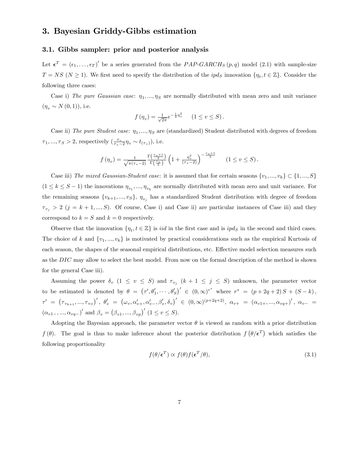### 3. Bayesian Griddy-Gibbs estimation

#### 3.1. Gibbs sampler: prior and posterior analysis

Let  $\epsilon^T = (\epsilon_1, \ldots, \epsilon_T)'$  be a series generated from the PAP-GARCH<sub>S</sub>  $(p, q)$  model (2.1) with sample-size  $T = NS \ (N \ge 1)$ . We first need to specify the distribution of the  $ipd_S$  innovation  $\{\eta_t, t \in \mathbb{Z}\}$ . Consider the following three cases:

Case i) The pure Gaussian case:  $\eta_1, ..., \eta_s$  are normally distributed with mean zero and unit variance  $(\eta_v \sim N(0, 1)),$  i.e.

$$
f(\eta_v) = \frac{1}{\sqrt{2\pi}} e^{-\frac{1}{2}\eta_v^2}
$$
  $(1 \le v \le S).$ 

Case ii) The pure Student case:  $\eta_1, ..., \eta_S$  are (standardized) Student distributed with degrees of freedom  $\tau_1, ..., \tau_S > 2$ , respectively  $\left(\frac{\tau_v}{\tau_v - 2}\eta_v \sim t_{(\tau_v)}\right)$ , i.e.

$$
f(\eta_v) = \frac{1}{\sqrt{\pi(\tau_v - 2)}} \frac{\Gamma(\frac{\tau_v + 1}{2})}{\Gamma(\frac{\tau_v}{2})} \left(1 + \frac{\eta_v^2}{(\tau_v - 2)}\right)^{-\frac{\tau_v + 1}{2}} \qquad (1 \le v \le S).
$$

Case iii) The mixed Gaussian-Student case: it is assumed that for certain seasons  $\{v_1, ..., v_k\} \subset \{1, ..., S\}$  $(1 \le k \le S - 1)$  the innovations  $\eta_{v_1},...,\eta_{v_k}$  are normally distributed with mean zero and unit variance. For the remaining seasons  $\{v_{k+1},...,v_S\}$ ,  $\eta_{v_j}$  has a standardized Student distribution with degree of freedom  $\tau_{v_j} > 2$  (j = k + 1, ..., S). Of course, Case i) and Case ii) are particular instances of Case iii) and they correspond to  $k = S$  and  $k = 0$  respectively.

Observe that the innovation  $\{\eta_t, t \in \mathbb{Z}\}$  is *iid* in the first case and is  $ipd_S$  in the second and third cases. The choice of k and  $\{v_1, ..., v_k\}$  is motivated by practical considerations such as the empirical Kurtosis of each season, the shapes of the seasonal empirical distributions, etc. Effective model selection measures such as the DIC may allow to select the best model. From now on the formal description of the method is shown for the general Case iii).

Assuming the power  $\delta_v$  ( $1 \leq v \leq S$ ) and  $\tau_{v_j}$  ( $k+1 \leq j \leq S$ ) unknown, the parameter vector to be estimated is denoted by  $\theta = (\tau', \theta'_1, \cdots, \theta'_S)' \in (0, \infty)^{r^*}$  where  $r^* = (p + 2q + 2)S + (S - k)$ ,  $\tau' \;=\; \big(\tau_{v_{k+1}},...,\tau_{v_S}\big)',\; \theta_v' \;=\; \big(\omega_v,\alpha_{v+}',\alpha_{v-}',\beta_v',\delta_v\big)' \;\in\; (0,\infty)^{(p+2q+2)},\;\alpha_{v+} \;=\; (\alpha_{v1+},...,\alpha_{vq+})',\;\alpha_{v-} \;=\; \alpha_{v1+},...,\alpha_{vq+},\delta_v$  $(\alpha_{v1-}, ..., \alpha_{vq-})'$  and  $\beta_v = (\beta_{v1}, ..., \beta_{vp})'$   $(1 \le v \le S)$ .

Adopting the Bayesian approach, the parameter vector  $\theta$  is viewed as random with a prior distribution  $f(\theta)$ . The goal is thus to make inference about the posterior distribution  $f(\theta/\epsilon^T)$  which satisfies the following proportionality

$$
f(\theta/\epsilon^T) \propto f(\theta)f(\epsilon^T/\theta),\tag{3.1}
$$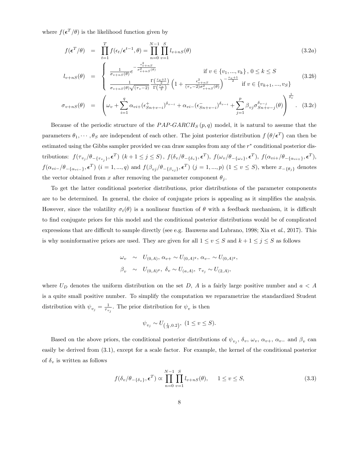where  $f(\boldsymbol{\epsilon}^T/\theta)$  is the likelihood function given by

$$
f(\boldsymbol{\epsilon}^T/\theta) = \prod_{t=1}^T f(\epsilon_t/\boldsymbol{\epsilon}^{t-1}, \theta) = \prod_{n=0}^{N-1} \prod_{v=1}^S l_{v+nS}(\theta)
$$
(3.2a)

$$
l_{v+nS}(\theta) = \begin{cases} \frac{1}{\sigma_{v+nS}(\theta)} e^{-\frac{1}{\sigma_{v+nS}(\theta)}} & \text{if } v \in \{v_1, \dots, v_k\}, 0 \le k \le S\\ \frac{1}{\sigma_{v+nS}(\theta)\sqrt{(\tau_v-2)}} \frac{\Gamma(\frac{\tau_v+1}{2})}{\Gamma(\frac{\tau_v}{2})} \left(1 + \frac{\epsilon_{v+nS}^2}{(\tau_v-2)\sigma_{v+nS}^2(\theta)}\right)^{-\frac{\tau_v+1}{2}} & \text{if } v \in \{v_{k+1}, \dots, v_S\} \end{cases}
$$
(3.2b)

$$
\sigma_{v+nS}(\theta) = \left(\omega_v + \sum_{i=1}^q \alpha_{vi+} (\epsilon_{Sn+v-i}^+)^{\delta_{v-i}} + \alpha_{vi-} (\epsilon_{Sn+v-i}^-)^{\delta_{v-i}} + \sum_{j=1}^p \beta_{vj} \sigma_{Sn+v-j}^{\delta_{v-j}}(\theta)\right)^{\frac{1}{\delta_v}}.
$$
 (3.2*c*)

Because of the periodic structure of the  $PAP\text{-}GARCH_S(p,q)$  model, it is natural to assume that the parameters  $\theta_1, \dots, \theta_S$  are independent of each other. The joint posterior distribution  $f(\theta/\epsilon^T)$  can then be estimated using the Gibbs sampler provided we can draw samples from any of the  $r^*$  conditional posterior distributions:  $f(\tau_{v_j}/\theta_{-\{\tau_{v_j}\}}, \epsilon^T)$   $(k+1 \leq j \leq S)$ ,  $f(\delta_v/\theta_{-\{\delta_v\}}, \epsilon^T)$ ,  $f(\omega_v/\theta_{-\{\omega_v\}}, \epsilon^T)$ ,  $f(\alpha_{vi+}/\theta_{-\{\alpha_{vi+}\}}, \epsilon^T)$ ,  $f(\alpha_{vi-}/\theta_{-\{\alpha_{vi-}\}}, \epsilon^T)$   $(i = 1, ..., q)$  and  $f(\beta_{vj}/\theta_{-\{\beta_{vj}\}}, \epsilon^T)$   $(j = 1, ..., p)$   $(1 \le v \le S)$ , where  $x_{-\{\theta_j\}}$  denotes the vector obtained from x after removing the parameter component  $\theta_i$ .

To get the latter conditional posterior distributions, prior distributions of the parameter components are to be determined. In general, the choice of conjugate priors is appealing as it simplifies the analysis. However, since the volatility  $\sigma_t(\theta)$  is a nonlinear function of  $\theta$  with a feedback mechanism, it is difficult to Önd conjugate priors for this model and the conditional posterior distributions would be of complicated expressions that are difficult to sample directly (see e.g. Bauwens and Lubrano, 1998; Xia et  $al$ , 2017). This is why noninformative priors are used. They are given for all  $1 \le v \le S$  and  $k + 1 \le j \le S$  as follows

$$
\omega_v \sim U_{(0,A)}, \alpha_{v+} \sim U_{(0,A)^q}, \alpha_{v-} \sim U_{(0,A)^q},
$$
  
\n $\beta_v \sim U_{(0,A)^p}, \delta_v \sim U_{(a,A)}, \tau_{v_j} \sim U_{(2,A)},$ 

where  $U_D$  denotes the uniform distribution on the set D, A is a fairly large positive number and  $a < A$ is a quite small positive number. To simplify the computation we reparametrize the standardized Student distribution with  $\psi_{v_j} = \frac{1}{\tau_{v_j}}$ . The prior distribution for  $\psi_v$  is then

$$
\psi_{v_j} \sim U_{(\frac{1}{A},0.2)}, \ (1 \le v \le S).
$$

Based on the above priors, the conditional posterior distributions of  $\psi_{v_j}$ ,  $\delta_v$ ,  $\omega_v$ ,  $\alpha_{v+}$ ,  $\alpha_{v-}$  and  $\beta_v$  can easily be derived from (3:1), except for a scale factor. For example, the kernel of the conditional posterior of  $\delta_v$  is written as follows

$$
f(\delta_v/\theta_{-\{\delta_v\}}, \epsilon^T) \propto \prod_{n=0}^{N-1} \prod_{v=1}^S l_{v+nS}(\theta), \quad 1 \le v \le S,
$$
\n(3.3)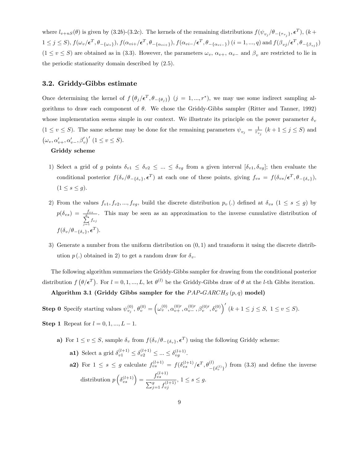where  $l_{v+nS}(\theta)$  is given by (3.2b)-(3.2c). The kernels of the remaining distributions  $f(\psi_{v_j}/\theta_{-\{\tau_{v_j}\}}, \epsilon^T)$ ,  $(k+1)$  $1 \leq j \leq S$ ),  $f(\omega_v/\epsilon^T, \theta_{-\{\omega_v\}}), f(\alpha_{vi+}/\epsilon^T, \theta_{-\{\alpha_{vi+}\}}), f(\alpha_{vi-}/\epsilon^T, \theta_{-\{\alpha_{vi-}\}})$   $(i = 1, ..., q)$  and  $f(\beta_{vj}/\epsilon^T, \theta_{-\{\beta_{vj}\}})$  $(1 \le v \le S)$  are obtained as in (3.3). However, the parameters  $\omega_v$ ,  $\alpha_{v+}$ ,  $\alpha_{v-}$  and  $\beta_v$  are restricted to lie in the periodic stationarity domain described by  $(2.5)$ .

#### 3.2. Griddy-Gibbs estimate

Once determining the kernel of  $f(\theta_j/\epsilon^T, \theta_{-\{\theta_j\}})$   $(j = 1, ..., r^*)$ , we may use some indirect sampling algorithms to draw each component of  $\theta$ . We chose the Griddy-Gibbs sampler (Ritter and Tanner, 1992) whose implementation seems simple in our context. We illustrate its principle on the power parameter  $\delta_v$  $(1 \le v \le S)$ . The same scheme may be done for the remaining parameters  $\psi_{v_j} = \frac{1}{\tau_{v_j}}$   $(k+1 \le j \le S)$  and  $(\omega_v, \alpha'_{v+}, \alpha'_{v-}, \beta'_v)'$   $(1 \le v \le S).$ 

#### Griddy scheme

- 1) Select a grid of g points  $\delta_{v1} \leq \delta_{v2} \leq ... \leq \delta_{vg}$  from a given interval  $[\delta_{v1}, \delta_{vg}]$ ; then evaluate the conditional posterior  $f(\delta_v/\theta_{-\{\delta_v\}}, \epsilon^T)$  at each one of these points, giving  $f_{vs} = f(\delta_{vs}/\epsilon^T, \theta_{-\{\delta_v\}})$ ,  $(1 \leq s \leq g).$
- 2) From the values  $f_{v1}, f_{v2},..., f_{vg}$ , build the discrete distribution  $p_v(.)$  defined at  $\delta_{vs}$   $(1 \leq s \leq g)$  by  $p(\delta_{vs})\ =\ \frac{f_{vs}}{\sum\limits_{j=1}^g f_{vj}}$ . This may be seen as an approximation to the inverse cumulative distribution of  $f(\delta_v/\theta_{-\{\delta_v\}}, \boldsymbol{\epsilon}^T).$
- 3) Generate a number from the uniform distribution on  $(0, 1)$  and transform it using the discrete distribution  $p(.)$  obtained in 2) to get a random draw for  $\delta_v$ .

The following algorithm summarizes the Griddy-Gibbs sampler for drawing from the conditional posterior distribution  $f(\theta/\epsilon^T)$ . For  $l = 0, 1, ..., L$ , let  $\theta^{(l)}$  be the Griddy-Gibbs draw of  $\theta$  at the *l*-th Gibbs iteration.

Algorithm 3.1 (Griddy Gibbs sampler for the  $PAP\text{-}GARCH_S(p,q)$  model)

**Step 0** Specify starting values  $\psi_{v_j}^{(0)}$ ,  $\theta_v^{(0)} = (\omega_v^{(0)}, \alpha_{v+}^{(0)}, \alpha_{v-}^{(0)}, \beta_v^{(0)}, \delta_v^{(0)})'$   $(k+1 \le j \le S, 1 \le v \le S)$ . **Step 1** Repeat for  $l = 0, 1, ..., L - 1$ .

- - a) For  $1 \le v \le S$ , sample  $\delta_v$  from  $f(\delta_v/\theta_{-\{\delta_v\}}, \epsilon^T)$  using the following Griddy scheme:
		- **a1)** Select a grid  $\delta_{v1}^{(l+1)} \leq \delta_{v2}^{(l+1)} \leq ... \leq \delta_{vg}^{(l+1)}$ . **a2)** For  $1 \leq s \leq g$  calculate  $f_{vs}^{(l+1)} = f(\delta_{vs}^{(l+1)}/\epsilon^T, \theta_{-\{\delta_{v}^{(l)}\}}^{(l)})$  from (3.3) and define the inverse distribution  $p\left(\delta_{vs}^{(l+1)}\right) = \frac{f_{vs}^{(l+1)}}{\sum_{s=1}^{q} f_{vs}^{(l)}}$  $\sum_{j=1}^{g} f_{vj}^{(l+1)}$  $, 1 \leq s \leq g.$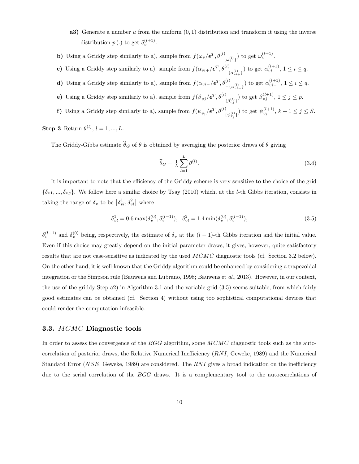- a3) Generate a number  $u$  from the uniform  $(0,1)$  distribution and transform it using the inverse distribution  $p(.)$  to get  $\delta_v^{(l+1)}$ .
- b) Using a Griddy step similarly to a), sample from  $f(\omega_v/\epsilon^T, \theta_{-\{\omega_v^{(l)}\}}^{(l)})$  to get  $\omega_v^{(l+1)}$ .
- c) Using a Griddy step similarly to a), sample from  $f(\alpha_{vi+}/\epsilon^T, \theta_{-\{\alpha_{vi+}^{(l)}\}}^{(l)})$  to get  $\alpha_{vi+}^{(l+1)}$ ,  $1 \le i \le q$ .
- **d)** Using a Griddy step similarly to a), sample from  $f(\alpha_{vi} = / \epsilon^T, \theta_{-\{\alpha_{vi}^{(l)}\}}^{(l)})$  to get  $\alpha_{vi}^{(l+1)}$ ,  $1 \le i \le q$ .
- (e) Using a Griddy step similarly to a), sample from  $f(\beta_{vj}/\epsilon^T, \theta_{-\{\beta_{vj}^{(l)}\}}^{(l)})$  to get  $\beta_{vj}^{(l+1)}$ ,  $1 \le j \le p$ .
- f) Using a Griddy step similarly to a), sample from  $f(\psi_{v_j}/\epsilon^T, \theta_{-\{\psi_{v_j}^{(l)}\}}^{(l)})$  to get  $\psi_{v_j}^{(l+1)}, k+1 \le j \le S$ .

**Step 3** Return  $\theta^{(l)}$ ,  $l = 1, ..., L$ .

The Griddy-Gibbs estimate  $\hat{\theta}_G$  of  $\theta$  is obtained by averaging the posterior draws of  $\theta$  giving

$$
\widehat{\theta}_G = \frac{1}{L} \sum_{l=1}^L \theta^{(l)}.
$$
\n(3.4)

It is important to note that the efficiency of the Griddy scheme is very sensitive to the choice of the grid  $\{\delta_{v1},...,\delta_{vg}\}.$  We follow here a similar choice by Tsay (2010) which, at the *l*-th Gibbs iteration, consists in taking the range of  $\delta_v$  to be  $\left[\delta_{vl}^1, \delta_{vl}^2\right]$  where

$$
\delta_{vl}^{1} = 0.6 \max(\delta_{v}^{(0)}, \delta_{v}^{(l-1)}), \quad \delta_{vl}^{2} = 1.4 \min(\delta_{v}^{(0)}, \delta_{v}^{(l-1)}), \tag{3.5}
$$

 $\delta_v^{(l-1)}$  and  $\delta_v^{(0)}$  being, respectively, the estimate of  $\delta_v$  at the  $(l-1)$ -th Gibbs iteration and the initial value. Even if this choice may greatly depend on the initial parameter draws, it gives, however, quite satisfactory results that are not case-sensitive as indicated by the used MCMC diagnostic tools (cf. Section 3.2 below). On the other hand, it is well-known that the Griddy algorithm could be enhanced by considering a trapezoidal integration or the Simpson rule (Bauwens and Lubrano, 1998; Bauwens et al., 2013). However, in our context, the use of the griddy Step a2) in Algorithm 3.1 and the variable grid (3:5) seems suitable, from which fairly good estimates can be obtained (cf. Section 4) without using too sophistical computational devices that could render the computation infeasible.

#### 3.3. MCMC Diagnostic tools

In order to assess the convergence of the BGG algorithm, some MCMC diagnostic tools such as the autocorrelation of posterior draws, the Relative Numerical Inefficiency  $(RNI,$  Geweke, 1989) and the Numerical Standard Error (NSE, Geweke, 1989) are considered. The  $RNI$  gives a broad indication on the inefficiency due to the serial correlation of the BGG draws. It is a complementary tool to the autocorrelations of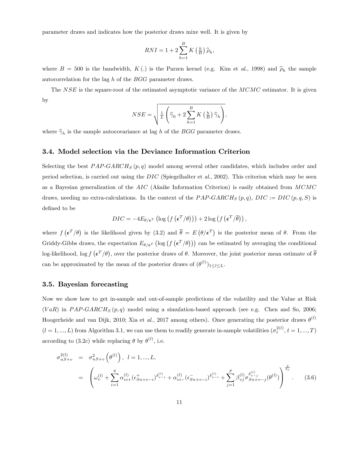parameter draws and indicates how the posterior draws mixe well. It is given by

$$
RNI = 1 + 2\sum_{h=1}^{B} K\left(\frac{h}{B}\right)\widehat{\rho}_h,
$$

where  $B = 500$  is the bandwidth,  $K(.)$  is the Parzen kernel (e.g. Kim et al., 1998) and  $\hat{\rho}_h$  the sample autocorrelation for the lag h of the BGG parameter draws.

The NSE is the square-root of the estimated asymptotic variance of the MCMC estimator. It is given by

$$
NSE = \sqrt{\frac{1}{L} \left( \widehat{\gamma}_0 + 2 \sum_{h=1}^{B} K\left(\frac{h}{B}\right) \widehat{\gamma}_h \right)},
$$

where  $\hat{\gamma}_h$  is the sample autocovariance at lag h of the BGG parameter draws.

#### 3.4. Model selection via the Deviance Information Criterion

Selecting the best  $PAP-GARCH<sub>S</sub>(p, q)$  model among several other candidates, which includes order and period selection, is carried out using the DIC (Spiegelhalter et al., 2002). This criterion which may be seen as a Bayesian generalization of the AIC (Akaike Information Criterion) is easily obtained from MCMC draws, needing no extra-calculations. In the context of the  $PAP\text{-}GARCH<sub>S</sub>(p,q)$ ,  $DIC := DIC(p,q,S)$  is defined to be

$$
DIC = -4E_{\theta/\epsilon^T} \left( \log \left( f \left( \epsilon^T / \theta \right) \right) \right) + 2 \log \left( f \left( \epsilon^T / \overline{\theta} \right) \right),
$$

where  $f(\epsilon^T/\theta)$  is the likelihood given by (3.2) and  $\bar{\theta} = E(\theta/\epsilon^T)$  is the posterior mean of  $\theta$ . From the Griddy-Gibbs draws, the expectation  $E_{\theta/\epsilon^T}(\log (f (\epsilon^T/\theta)))$  can be estimated by averaging the conditional log-likelihood, log  $f(\epsilon^T/\theta)$ , over the posterior draws of  $\theta$ . Moreover, the joint posterior mean estimate of  $\bar{\theta}$ can be approximated by the mean of the posterior draws of  $(\theta^{(l)})_{1 \leq l \leq L}$ .

#### 3.5. Bayesian forecasting

Now we show how to get in-sample and out-of-sample predictions of the volatility and the Value at Risk  $(VaR)$  in PAP-GARCH<sub>S</sub> (p, q) model using a simulation-based approach (see e.g. Chen and So, 2006; Hoogerheide and van Dijk, 2010; Xia et al., 2017 among others). Once generating the posterior draws  $\theta^{(l)}$  $(l = 1, ..., L)$  from Algorithm 3.1, we can use them to readily generate in-sample volatilities  $(\sigma_t^{2(l)}, t = 1, ..., T)$ according to (3.2c) while replacing  $\theta$  by  $\theta^{(l)}$ , i.e.

$$
\sigma_{nS+v}^{2(l)} = \sigma_{nS+v}^{2} \left( \theta^{(l)} \right), \quad l = 1, ..., L,
$$
\n
$$
= \left( \omega_{v}^{(l)} + \sum_{i=1}^{q} \alpha_{vi+}^{(l)} (\epsilon_{Sn+v-i}^{+})^{\delta_{v-i}^{(l)}} + \alpha_{vi-}^{(l)} (\epsilon_{Sn+v-i}^{-})^{\delta_{v-i}^{(l)}} + \sum_{j=1}^{p} \beta_{vj}^{(l)} \sigma_{Sn+v-j}^{\delta_{v-j}^{(l)}} (\theta^{(l)}) \right)^{\frac{2}{\delta_{v}}}.
$$
\n(3.6)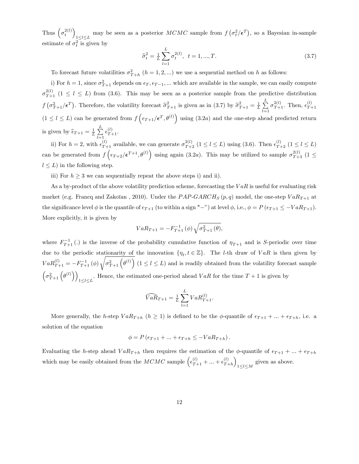Thus  $\left(\sigma_t^{2(l)}\right)$  $\frac{1}{2} \leq l \leq L$ may be seen as a posterior  $MCMC$  sample from  $f(\sigma_t^2/\epsilon^T)$ , so a Bayesian in-sample estimate of  $\sigma_t^2$  is given by

$$
\hat{\sigma}_t^2 = \frac{1}{L} \sum_{l=1}^L \sigma_t^{2(l)}, \ t = 1, ..., T.
$$
\n(3.7)

To forecast future volatilities  $\sigma_{T+h}^2$   $(h = 1, 2, ...)$  we use a sequential method on h as follows:

i) For  $h = 1$ , since  $\sigma_{T+1}^2$  depends on  $\epsilon_T, \epsilon_{T-1}, ...$  which are available in the sample, we can easily compute  $\sigma_{T+1}^{2(l)}$  ( $1 \leq l \leq L$ ) from (3.6). This may be seen as a posterior sample from the predictive distribution  $f\left(\sigma_{T+1}^2/\epsilon^T\right)$ . Therefore, the volatility forecast  $\hat{\sigma}_{T+1}^2$  is given as in (3.7) by  $\hat{\sigma}_{T+1}^2 = \frac{1}{L} \sum_{l=1}^{L}$  $_{l=1}$  $\sigma_{T+1}^{2(l)}$ . Then,  $\epsilon_{T-}^{(l)}$  $T+1$  $(1 \leq l \leq L)$  can be generated from  $f\left(\epsilon_{T+1}/\epsilon^T,\theta^{(l)}\right)$  using  $(3.2a)$  and the one-step ahead predicted return is given by  $\widehat{\epsilon}_{T+1} = \frac{1}{L} \sum_{l=1}^{L} \epsilon_{T+1}^{(l)}$ .  $_{l=1}$ 

ii) For  $h = 2$ , with  $\epsilon_{T+1}^{(l)}$  available, we can generate  $\sigma_{T+2}^{2(l)}$   $(1 \le l \le L)$  using (3.6). Then  $\epsilon_{T+2}^{(l)}$   $(1 \le l \le L)$ can be generated from  $f\left(\epsilon_{T+2}/\epsilon^{T+1}, \theta^{(l)}\right)$  using again (3.2a). This may be utilized to sample  $\sigma_{T+3}^{2(l)}$  (1  $\leq$  $l \leq L$ ) in the following step.

iii) For  $h \geq 3$  we can sequentially repeat the above steps i) and ii).

As a by-product of the above volatility prediction scheme, forecasting the  $VaR$  is useful for evaluating risk market (e.g. Francq and Zakoïan, 2010). Under the  $PAP\text{-}GARCH_S (p, q)$  model, the one-step  $VaR_{T+1}$  at the significance level  $\phi$  is the quantile of  $\epsilon_{T+1}$  (to within a sign "-") at level  $\phi$ , i.e.,  $\phi = P(\epsilon_{T+1} \le -VaR_{T+1})$ . More explicitly, it is given by

$$
VaR_{T+1} = -F_{T+1}^{-1}(\phi) \sqrt{\sigma_{T+1}^{2}(\theta)},
$$

where  $F_{T+1}^{-1}(.)$  is the inverse of the probability cumulative function of  $\eta_{T+1}$  and is S-periodic over time due to the periodic stationarity of the innovation  $\{\eta_t, t \in \mathbb{Z}\}$ . The *l*-th draw of  $VaR$  is then given by  $VaR_{T+1}^{(l)} = -F_{T+1}^{-1}(\phi)$ <sup>1</sup>  $\sigma_{T+1}^2(\theta^{(l)})$   $(1 \leq l \leq L)$  and is readily obtained from the volatility forecast sample  $\left(\sigma_{T+1}^2\left(\theta^{(l)}\right)\right)$  $1 \leq l \leq L$ . Hence, the estimated one-period ahead  $VaR$  for the time  $T+1$  is given by

$$
\widehat{VaR}_{T+1} = \frac{1}{L} \sum_{l=1}^{L} VaR_{T+1}^{(l)}.
$$

More generally, the h-step  $VaR_{T+h}$   $(h \ge 1)$  is defined to be the  $\phi$ -quantile of  $\epsilon_{T+1} + ... + \epsilon_{T+h}$ , i.e. a solution of the equation

$$
\phi = P\left(\epsilon_{T+1} + \ldots + \epsilon_{T+h} \leq -VaR_{T+h}\right).
$$

Evaluating the h-step ahead  $VaR_{T+h}$  then requires the estimation of the  $\phi$ -quantile of  $\epsilon_{T+1} + ... + \epsilon_{T+h}$ which may be easily obtained from the  $MCMC$  sample  $\left(\epsilon_{T+1}^{(l)} + ... + \epsilon_{T-1}^{(l)}\right)$  $\binom{l}{T+h}$  $1 \leq l \leq M$ given as above.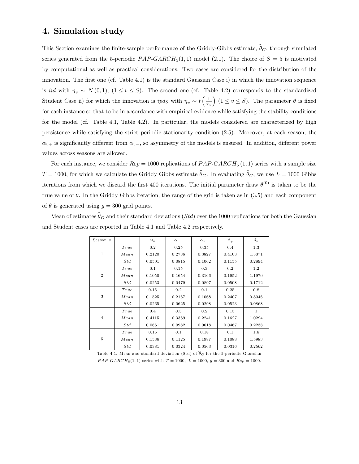## 4. Simulation study

This Section examines the finite-sample performance of the Griddy-Gibbs estimate,  $\hat{\theta}_G$ , through simulated series generated from the 5-periodic  $PAP-GARCH_5(1,1)$  model (2.1). The choice of  $S=5$  is motivated by computational as well as practical considerations. Two cases are considered for the distribution of the innovation. The first one (cf. Table 4.1) is the standard Gaussian Case i) in which the innovation sequence is iid with  $\eta_v \sim N(0, 1)$ ,  $(1 \le v \le S)$ . The second one (cf. Table 4.2) corresponds to the standardized Student Case ii) for which the innovation is  $ipd_S$  with  $\eta_v \sim t \left(\frac{1}{\psi_v}\right)$ (1  $\leq v \leq S$ ). The parameter  $\theta$  is fixed for each instance so that to be in accordance with empirical evidence while satisfying the stability conditions for the model (cf. Table 4.1, Table 4.2). In particular, the models considered are characterized by high persistence while satisfying the strict periodic stationarity condition (2:5). Moreover, at each season, the  $\alpha_{v+}$  is significantly different from  $\alpha_{v-}$ , so asymmetry of the models is ensured. In addition, different power values across seasons are allowed.

For each instance, we consider  $Rep = 1000$  replications of  $PAP-GARCH<sub>5</sub>(1,1)$  series with a sample size  $T = 1000$ , for which we calculate the Griddy Gibbs estimate  $\hat{\theta}_G$ . In evaluating  $\hat{\theta}_G$ , we use  $L = 1000$  Gibbs iterations from which we discard the first 400 iterations. The initial parameter draw  $\theta^{(0)}$  is taken to be the true value of  $\theta$ . In the Griddy Gibbs iteration, the range of the grid is taken as in (3.5) and each component of  $\theta$  is generated using  $g = 300$  grid points.

Mean of estimates  $\widehat{\theta}_G$  and their standard deviations (Std) over the 1000 replications for both the Gaussian and Student cases are reported in Table 4.1 and Table 4.2 respectively.

| Season $v$     |      | $\omega_{v}$ | $\alpha_{v+}$ | $\alpha_{v}$ | $\beta_v$ | $\delta_{v}$ |
|----------------|------|--------------|---------------|--------------|-----------|--------------|
|                | True | 0.2          | 0.25          | 0.35         | 0.4       | 1.3          |
| $\mathbf{1}$   | Mean | 0.2120       | 0.2786        | 0.3827       | 0.4108    | 1.3071       |
|                | Std  | 0.0501       | 0.0815        | 0.1062       | 0.1155    | 0.2894       |
|                | True | 0.1          | 0.15          | 0.3          | 0.2       | 1.2          |
| $\overline{2}$ | Mean | 0.1050       | 0.1654        | 0.3166       | 0.1952    | 1.1970       |
|                | Std  | 0.0253       | 0.0479        | 0.0897       | 0.0508    | 0.1712       |
|                | True | 0.15         | 0.2           | 0.1          | 0.25      | 0.8          |
| 3              | Mean | 0.1525       | 0.2167        | 0.1068       | 0.2407    | 0.8046       |
|                | Std  | 0.0265       | 0.0625        | 0.0298       | 0.0523    | 0.0868       |
|                | True | 0.4          | 0.3           | 0.2          | 0.15      | 1            |
| $\overline{4}$ | Mean | 0.4115       | 0.3369        | 0.2241       | 0.1627    | 1.0294       |
|                | Std  | 0.0661       | 0.0982        | 0.0618       | 0.0467    | 0.2238       |
|                | True | 0.15         | 0.1           | 0.18         | 0.1       | $1.6\,$      |
| 5              | Mean | 0.1586       | 0.1125        | 0.1987       | 0.1088    | 1.5983       |
|                | Std  | 0.0381       | 0.0324        | 0.0563       | 0.0316    | 0.2562       |

Table 4.1. Mean and standard deviation (Std) of  $\widehat{\theta}_G$  for the 5-periodic Gaussian  $PAP\text{-}GARCH_5(1, 1)$  series with  $T = 1000$ ,  $L = 1000$ ,  $q = 300$  and  $Rep = 1000$ .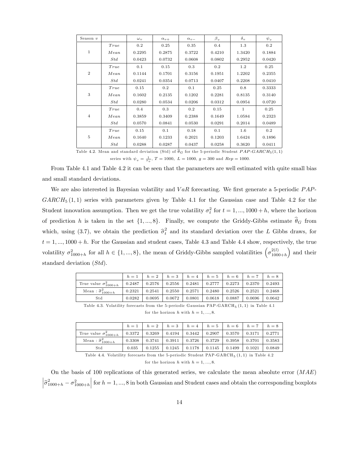| Season $v$     |      | $\omega_{v}$ | $\alpha_{v+}$ | $\alpha_v$                                                                                               | $\beta_{v}$ | $\delta_{v}$ | $\psi_{v}$ |
|----------------|------|--------------|---------------|----------------------------------------------------------------------------------------------------------|-------------|--------------|------------|
|                | True | 0.2          | 0.25          | 0.35                                                                                                     | 0.4         | 1.3          | 0.2        |
| 1              | Mean | 0.2295       | 0.2875        | 0.3722                                                                                                   | 0.4210      | 1.3420       | 0.1884     |
|                | Std  | 0.0423       | 0.0732        | 0.0608                                                                                                   | 0.0802      | 0.2952       | 0.0420     |
|                | True | 0.1          | 0.15          | 0.3                                                                                                      | 0.2         | 1.2          | 0.25       |
| $\overline{2}$ | Mean | 0.1144       | 0.1701        | 0.3156                                                                                                   | 0.1951      | 1.2202       | 0.2355     |
|                | Std  | 0.0241       | 0.0354        | 0.0713                                                                                                   | 0.0407      | 0.2208       | 0.0410     |
|                | True | 0.15         | 0.2           | 0.1                                                                                                      | 0.25        | 0.8          | 0.3333     |
| 3              | Mean | 0.1602       | 0.2135        | 0.1202                                                                                                   | 0.2281      | 0.8135       | 0.3140     |
|                | Std  | 0.0280       | 0.0534        | 0.0206                                                                                                   | 0.0312      | 0.0954       | 0.0720     |
|                | True | 0.4          | 0.3           | 0.2                                                                                                      | 0.15        | 1            | 0.25       |
| $\overline{4}$ | Mean | 0.3859       | 0.3409        | 0.2388                                                                                                   | 0.1649      | 1.0584       | 0.2323     |
|                | Std  | 0.0570       | 0.0841        | 0.0530                                                                                                   | 0.0291      | 0.2014       | 0.0489     |
|                | True | 0.15         | 0.1           | 0.18                                                                                                     | 0.1         | $1.6\,$      | 0.2        |
| 5              | Mean | 0.1640       | 0.1233        | 0.2021                                                                                                   | 0.1203      | 1.6424       | 0.1896     |
|                | Std  | 0.0288       | 0.0287        | 0.0437                                                                                                   | 0.0258      | 0.3620       | 0.0411     |
|                |      |              |               | Table 4.2. Mean and standard deviation (Std) of $\theta_G$ for the 5-periodic Student $PAP-GARCH_5(1,1)$ |             |              |            |

series with  $\psi_v = \frac{1}{\tau_v}$ ,  $T = 1000$ ,  $L = 1000$ ,  $g = 300$  and  $Rep = 1000$ .

From Table 4.1 and Table 4.2 it can be seen that the parameters are well estimated with quite small bias and small standard deviations.

We are also interested in Bayesian volatility and  $VaR$  forecasting. We first generate a 5-periodic  $PAP$ - $GARCH_5 (1,1)$  series with parameters given by Table 4.1 for the Gaussian case and Table 4.2 for the Student innovation assumption. Then we get the true volatility  $\sigma_t^2$  for  $t = 1, ..., 1000 + h$ , where the horizon of prediction h is taken in the set  $\{1, ..., 8\}$ . Finally, we compute the Griddy-Gibbs estimate  $\widehat{\theta}_G$  from which, using (3.7), we obtain the prediction  $\hat{\sigma}_t^2$  and its standard deviation over the L Gibbs draws, for  $t = 1, ..., 1000 + h$ . For the Gaussian and student cases, Table 4.3 and Table 4.4 show, respectively, the true volatility  $\sigma_{1000+h}^2$  for all  $h \in \{1, ..., 8\}$ , the mean of Griddy-Gibbs sampled volatilities  $\left(\sigma_{100}^{2(l)}\right)$  $\binom{2(l)}{1000+h}$  and their standard deviation (Std).

|                                  |        |        |        | $h=1$ $h=2$ $h=3$ $h=4$ $h=5$ $h=6$ $h=7$ |        |        |        | $h=8$  |
|----------------------------------|--------|--------|--------|-------------------------------------------|--------|--------|--------|--------|
| True value $\sigma_{1000+h}^2$   | 0.2487 | 0.2576 | 0.2556 | 0.2481                                    | 0.2777 | 0.2273 | 0.2370 | 0.2493 |
| Mean : $\hat{\sigma}_{1000+h}^2$ | 0.2321 | 0.2541 | 0.2550 | 0.2571                                    | 0.2480 | 0.2526 | 0.2521 | 0.2468 |
| Std                              | 0.0282 | 0.0695 | 0.0672 | 0.0801                                    | 0.0618 | 0.0887 | 0.0696 | 0.0642 |

Table 4.3. Volatility forecasts from the 5-periodic Gaussian  $\text{PAP-GARCH}_5\left(1,1\right)$  in Table 4.1

for the horizon h with  $h = 1, ..., 8$ .

|                                  | $h=1$  |        |        | $h = 2$   $h = 3$   $h = 4$   $h = 5$   $h = 6$   $h = 7$   $h = 8$ |        |          |        |        |
|----------------------------------|--------|--------|--------|---------------------------------------------------------------------|--------|----------|--------|--------|
| True value $\sigma_{1000+h}^2$   | 0.3372 | 0.3269 | 0.4194 | 0.3442                                                              | 0.2907 | $0.3570$ | 0.3171 | 0.2771 |
| Mean : $\hat{\sigma}_{1000+h}^2$ | 0.3308 | 0.3741 | 0.3911 | 0.3726                                                              | 0.3729 | 0.3958   | 0.3701 | 0.3583 |
| $_{\mathrm{Std}}$                | 0.035  | 0.1255 | 0.1245 | 0.1178                                                              | 0.1145 | 0.1499   | 0.1021 | 0.0849 |

Table 4.4. Volatility forecasts from the 5-periodic Student  $\mathrm{PAP\text{-}GARCH}_5(1,1)$  in Table 4.2

for the horizon h with  $h = 1, ..., 8$ .

On the basis of 100 replications of this generated series, we calculate the mean absolute error  $(MAE)$  $\Big|\hat{\sigma}_{1000+h}^2 - \sigma_{1000+h}^2$ for  $h = 1, ..., 8$  in both Gaussian and Student cases and obtain the corresponding boxplots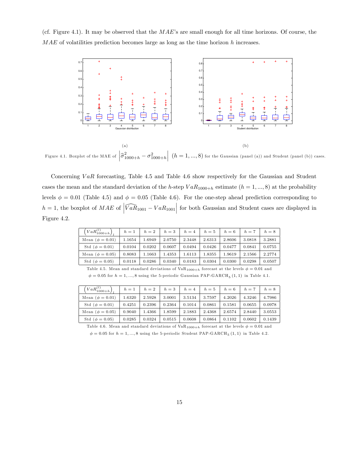(cf. Figure 4.1). It may be observed that the  $MAE$ 's are small enough for all time horizons. Of course, the  $MAE$  of volatilities prediction becomes large as long as the time horizon h increases.



Figure 4.1. Boxplot of the MAE of  $\left|\hat{\sigma}_{1000+h}^2 - \sigma_{1000+h}^2\right|$  $\left( h=1,...,8\right)$  for the Gaussian (panel (a)) and Student (panel (b)) cases.

Concerning  $VaR$  forecasting, Table 4.5 and Table 4.6 show respectively for the Gaussian and Student cases the mean and the standard deviation of the h-step  $VaR_{1000+h}$  estimate  $(h = 1, ..., 8)$  at the probability levels  $\phi = 0.01$  (Table 4.5) and  $\phi = 0.05$  (Table 4.6). For the one-step ahead prediction corresponding to  $h = 1$ , the boxplot of  $MAE$  of  $\left| \widehat{VaR}_{1001} - VaR_{1001} \right|$  for both Gaussian and Student cases are displayed in Figure 4.2.

| $\left( VaR_{1000+h}^{(l)}\right)$ | $h=1$  | $h=2$  | $h=3$  | $h=4$  | $h=5$  | $h=6$  | $h=7$  | $h=8$  |
|------------------------------------|--------|--------|--------|--------|--------|--------|--------|--------|
| Mean $(\phi = 0.01)$               | 1.1654 | 1.6949 | 2.0750 | 2.3448 | 2.6313 | 2.8606 | 3.0818 | 3.2881 |
| Std ( $\phi = 0.01$ )              | 0.0104 | 0.0202 | 0.0607 | 0.0494 | 0.0426 | 0.0477 | 0.0841 | 0.0755 |
| Mean $(\phi = 0.05)$               | 0.8083 | 1.1663 | 1.4353 | 1.6113 | 1.8355 | 1.9619 | 2.1566 | 2.2774 |
| Std ( $\phi = 0.05$ )              | 0.0118 | 0.0286 | 0.0340 | 0.0183 | 0.0304 | 0.0300 | 0.0298 | 0.0507 |

Table 4.5. Mean and standard deviations of  $VaR_{1000+h}$  forecast at the levels  $\phi = 0.01$  and  $\phi = 0.05$  for  $h = 1, ..., 8$  using the 5-periodic Gaussian PAP-GARCH<sub>5</sub> (1, 1) in Table 4.1.

| $\left( VaR_{1000+h}^{(l)}\right)$ | $h=1$  | $h=2$  | $h=3$  | $h=4$  | $h=5$  | $h=6$  | $h=7$  | $h=8$  |
|------------------------------------|--------|--------|--------|--------|--------|--------|--------|--------|
| Mean $(\phi = 0.01)$               | 1.6320 | 2.5928 | 3.0001 | 3.5134 | 3.7597 | 4.2026 | 4.3246 | 4.7986 |
| Std ( $\phi = 0.01$ )              | 0.4251 | 0.2396 | 0.2364 | 0.1014 | 0.0861 | 0.1581 | 0.0655 | 0.0978 |
| Mean $(\phi = 0.05)$               | 0.9040 | 1.4366 | 1.8599 | 2.1883 | 2.4368 | 2.6574 | 2.8440 | 3.0553 |
| Std ( $\phi = 0.05$ )              | 0.0285 | 0.0324 | 0.0515 | 0.0608 | 0.0864 | 0.1102 | 0.0602 | 0.1439 |

Table 4.6. Mean and standard deviations of  $VaR_{1000+h}$  forecast at the levels  $\phi = 0.01$  and

 $\phi = 0.05$  for  $h = 1, ..., 8$  using the 5-periodic Student PAP-GARCH<sub>5</sub> (1, 1) in Table 4.2.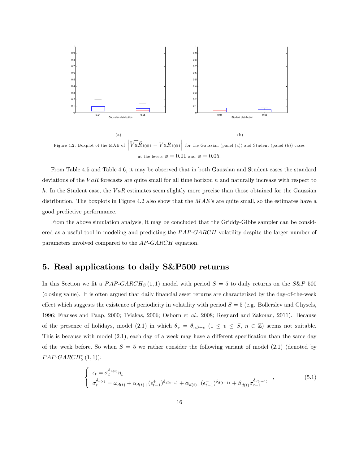

Figure 4.2. Boxplot of the MAE of  $\left|\widehat{VaR}_{1001} - VaR_{1001}\right|$  for the Gaussian (panel (a)) and Student (panel (b)) cases at the levels  $\phi = 0.01$  and  $\phi = 0.05$ .

From Table 4.5 and Table 4.6, it may be observed that in both Gaussian and Student cases the standard deviations of the  $VaR$  forecasts are quite small for all time horizon h and naturally increase with respect to h. In the Student case, the  $VaR$  estimates seem slightly more precise than those obtained for the Gaussian distribution. The boxplots in Figure 4.2 also show that the  $MAE$ 's are quite small, so the estimates have a good predictive performance.

From the above simulation analysis, it may be concluded that the Griddy-Gibbs sampler can be considered as a useful tool in modeling and predicting the  $PAP-GARCH$  volatility despite the larger number of parameters involved compared to the AP-GARCH equation.

## 5. Real applications to daily S&P500 returns

In this Section we fit a  $PAP\text{-}GARCH_S(1,1)$  model with period  $S = 5$  to daily returns on the S&P 500 (closing value). It is often argued that daily Önancial asset returns are characterized by the day-of-the-week effect which suggests the existence of periodicity in volatility with period  $S = 5$  (e.g. Bollerslev and Ghysels, 1996; Franses and Paap, 2000; Tsiakas, 2006; Osborn et al., 2008; Regnard and Zakoïan, 2011). Because of the presence of holidays, model (2.1) in which  $\theta_v = \theta_{nS+v}$  (1  $\leq v \leq S, n \in \mathbb{Z}$ ) seems not suitable. This is because with model  $(2.1)$ , each day of a week may have a different specification than the same day of the week before. So when  $S = 5$  we rather consider the following variant of model (2.1) (denoted by  $PAP\text{-}GARCH_5^*\left(1,1\right))$ :

$$
\begin{cases}\n\epsilon_t = \sigma_t^{\delta_{d(t)}} \eta_t \\
\sigma_t^{\delta_{d(t)}} = \omega_{d(t)} + \alpha_{d(t)+} (\epsilon_{t-1}^+) ^{\delta_{d(t-1)}} + \alpha_{d(t)-} (\epsilon_{t-1}^-)^{\delta_{d(t-1)}} + \beta_{d(t)} \sigma_{t-1}^{\delta_{d(t-1)}} \n\end{cases},
$$
\n(5.1)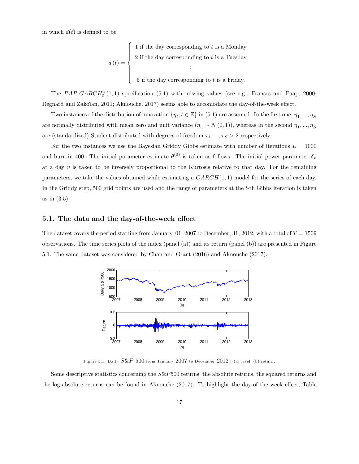in which  $d(t)$  is defined to be

$$
d(t) = \begin{cases} 1 \text{ if the day corresponding to } t \text{ is a Monday} \\ 2 \text{ if the day corresponding to } t \text{ is a Tuesday} \\ \vdots \\ 5 \text{ if the day corresponding to } t \text{ is a Friday.} \end{cases}
$$

The  $PAP\text{-}GARCH_5^*(1,1)$  specification (5.1) with missing values (see e.g. Franses and Paap, 2000; Regnard and Zakoïan, 2011; Aknouche, 2017) seems able to accomodate the day-of-the-week effect.

Two instances of the distribution of innovation  $\{\eta_t, t \in \mathbb{Z}\}$  in  $(5.1)$  are assumed. In the first one,  $\eta_1, ..., \eta_S$ are normally distributed with mean zero and unit variance  $(\eta_v \sim N(0, 1))$ , whereas in the second  $\eta_1, ..., \eta_S$ are (standardized) Student distributed with degrees of freedom  $\tau_1, ..., \tau_s > 2$  respectively.

For the two instances we use the Bayesian Griddy Gibbs estimate with number of iterations  $L = 1000$ and burn-in 400. The initial parameter estimate  $\theta^{(0)}$  is taken as follows. The initial power parameter  $\delta_v$ at a day  $v$  is taken to be inversely proportional to the Kurtosis relative to that day. For the remaining parameters, we take the values obtained while estimating a  $GARCH(1, 1)$  model for the series of each day. In the Griddy step, 500 grid points are used and the range of parameters at the l-th Gibbs iteration is taken as in  $(3.5)$ .

#### 5.1. The data and the day-of-the-week effect

The dataset covers the period starting from January, 01, 2007 to December, 31, 2012, with a total of  $T = 1509$ observations. The time series plots of the index (panel (a)) and its return (panel (b)) are presented in Figure 5.1. The same dataset was considered by Chan and Grant (2016) and Aknouche (2017).



Figure 5.1. Daily  $S\&P$  500 from January  $2007$  to December  $2012$  : (a) level, (b) return.

Some descriptive statistics concerning the  $S\&P500$  returns, the absolute returns, the squared returns and the log-absolute returns can be found in Aknouche  $(2017)$ . To highlight the day-of the week effect, Table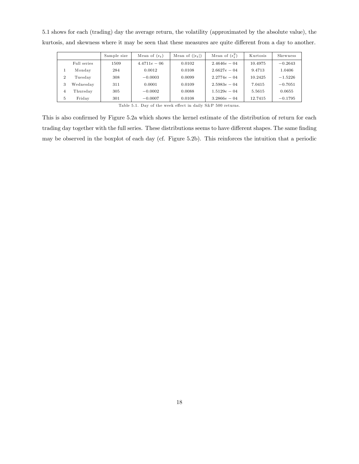5.1 shows for each (trading) day the average return, the volatility (approximated by the absolute value), the kurtosis, and skewness where it may be seen that these measures are quite different from a day to another.

|                |             | Sample size | Mean of $(\epsilon_t)$                                                                                                 | Mean of $( \epsilon_t )$ | Mean of $(\epsilon^2)$ | Kurtosis | Skewness  |
|----------------|-------------|-------------|------------------------------------------------------------------------------------------------------------------------|--------------------------|------------------------|----------|-----------|
|                | Full series | 1509        | $4.4711e-06$                                                                                                           | 0.0102                   | $2.4646e - 04$         | 10.4975  | $-0.2643$ |
|                | Monday      | 284         | 0.0012                                                                                                                 | 0.0108                   | $2.6627e - 04$         | 9.4713   | 1.0406    |
| $\overline{2}$ | Tuesday     | 308         | $-0.0003$                                                                                                              | 0.0099                   | $2.2774e - 04$         | 10.2425  | $-1.5226$ |
| 3              | Wednesday   | 311         | 0.0001                                                                                                                 | 0.0109                   | $2.5983e - 04$         | 7.0415   | $-0.7051$ |
| 4              | Thursdav    | 305         | $-0.0002$                                                                                                              | 0.0088                   | $1.5129e - 04$         | 5.5615   | 0.0655    |
| 5              | Friday      | 301         | $-0.0007$                                                                                                              | 0.0108                   | $3.2866e - 04$         | 12.7415  | $-0.1795$ |
|                |             |             | $\mathbb{R}$ . The state $\mathbb{R}$ is the state $\mathbb{R}$ in the state $\mathbb{R}$ is the state of $\mathbb{R}$ |                          |                        |          |           |

Table 5.1. Day of the week effect in daily  ${\rm S\&P}$  500 returns.

This is also confirmed by Figure 5.2a which shows the kernel estimate of the distribution of return for each trading day together with the full series. These distributions seems to have different shapes. The same finding may be observed in the boxplot of each day (cf. Figure 5.2b). This reinforces the intuition that a periodic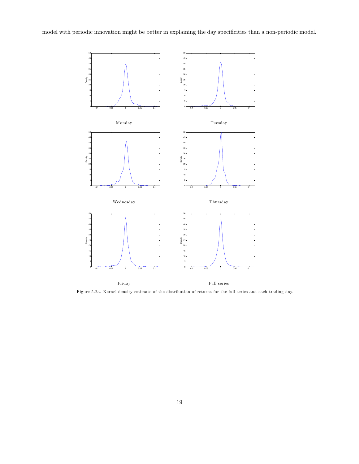model with periodic innovation might be better in explaining the day specificities than a non-periodic model.



Figure 5.2a. Kernel density estim ate of the distribution of returns for the full series and each trading day.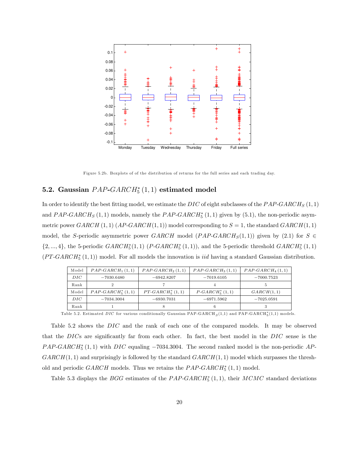

Figure 5.2b. Boxplots of of the distribution of returns for the full series and each trading day.

## 5.2. Gaussian  $PAP\text{-}GARCH_5^*(1,1)$  estimated model

In order to identify the best fitting model, we estimate the DIC of eight subclasses of the  $PAP\text{-}GARCH_S(1,1)$ and  $PAP\text{-}GARCH_S(1,1)$  models, namely the  $PAP\text{-}GARCH_5^*(1,1)$  given by  $(5.1)$ , the non-periodic asymmetric power  $GARCH(1,1)$   $(AP-GARCH(1,1))$  model corresponding to  $S = 1$ , the standard  $GARCH(1,1)$ model, the S-periodic asymmetric power GARCH model (PAP-GARCH<sub>S</sub>(1,1)) given by (2.1) for  $S \in$  $\{2, ..., 4\}$ , the 5-periodic  $GARCH_5^*(1, 1)$   $(P-GARCH_5^*(1, 1))$ , and the 5-periodic threshold  $GARCH_5^*(1, 1)$  $(PT-GARCH<sub>5</sub><sup>*</sup>(1,1))$  model. For all models the innovation is *iid* having a standard Gaussian distribution.

| Model | $PAP-GARCH_1(1,1)$          | $PAP\text{-}GARCH_2(1,1)$ | $PAP-GARCH_3(1,1)$          | $PAP-GARCH4(1,1)$ |
|-------|-----------------------------|---------------------------|-----------------------------|-------------------|
| DIC   | $-7030.6480$                | $-6942.8207$              | $-7019.6105$                | $-7000.7523$      |
| Rank  |                             |                           |                             |                   |
| Model | $PAP\text{-}GARCH5* (1, 1)$ | $PT-GARCH5* (1, 1)$       | $P\text{-}GARCH^*_{5}(1,1)$ | GARCH(1,1)        |
| DIC-  | $-7034.3004$                | $-6930.7031$              | $-6971.5962$                | $-7025.0591$      |
| Rank  |                             |                           |                             |                   |

Table 5.2. Estimated DIC for various conditionally Gaussian PAP-GARCH<sub>S</sub>(1,1) and PAP-GARCH<sup>\*</sup><sub>5</sub>(1,1) models.

Table 5.2 shows the DIC and the rank of each one of the compared models. It may be observed that the DICs are significantly far from each other. In fact, the best model in the DIC sense is the  $PAP\text{-}GARCH_5^*(1,1)$  with  $DIC$  equaling  $-7034.3004$ . The second ranked model is the non-periodic  $AP$ - $GARCH(1, 1)$  and surprisingly is followed by the standard  $GARCH(1, 1)$  model which surpasses the threshold and periodic  $GARCH$  models. Thus we retains the  $PAP\text{-}GARCH_5^*(1,1)$  model.

Table 5.3 displays the *BGG* estimates of the *PAP-GARCH*<sup>\*</sup><sub>5</sub> $(1,1)$ , their *MCMC* standard deviations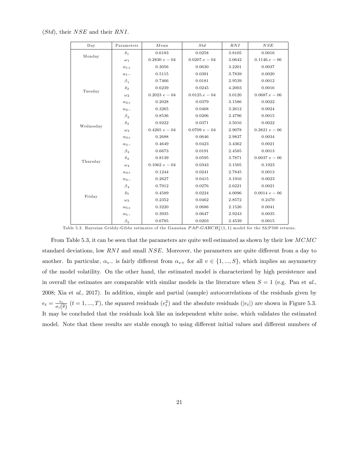| Day       | Parameters    | Mean            | Std             | RNI    | $NSE$           |
|-----------|---------------|-----------------|-----------------|--------|-----------------|
|           | $\delta_1$    | 0.6183          | 0.0258          | 3.8105 | 0.0016          |
| Monday    | $\omega_1$    | $0.2830 e - 04$ | $0.0207.e - 04$ | 3.0642 | $0.1146.e - 06$ |
|           | $\alpha_{1+}$ | 0.3056          | 0.0630          | 3.2201 | 0.0037          |
|           | $\alpha_{1-}$ | 0.5115          | 0.0391          | 3.7839 | 0.0020          |
|           | $\beta_1$     | 0.7466          | 0.0181          | 2.9539 | 0.0012          |
| Tuesday   | $\delta_2$    | 0.6239          | 0.0245          | 4.2003 | 0.0016          |
|           | $\omega_2$    | $0.2023 e - 04$ | $0.0125.e - 04$ | 3.0120 | $0.0687.e - 06$ |
|           | $\alpha_{2+}$ | 0.2028          | 0.0379          | 3.1586 | 0.0022          |
|           | $\alpha_{2-}$ | 0.3265          | 0.0468          | 3.2612 | 0.0024          |
|           | $\beta_{2}$   | 0.8536          | 0.0206          | 2.4796 | 0.0015          |
| Wednesday | $\delta_3$    | 0.9222          | 0.0371          | 3.5016 | 0.0022          |
|           | $\omega_3$    | $0.4265\ e-04$  | $0.0709 e - 04$ | 2.9078 | $0.3821 e - 06$ |
|           | $\alpha_{3+}$ | 0.2688          | 0.0646          | 2.9837 | 0.0034          |
|           | $\alpha_{3-}$ | 0.4649          | 0.0423          | 3.4362 | 0.0021          |
|           | $\beta_3$     | 0.6673          | 0.0191          | 2.4585 | 0.0013          |
| Thursday  | $\delta_4$    | 0.8139          | 0.0595          | 3.7871 | $0.0037 e - 06$ |
|           | $\omega_4$    | $0.1062\ e-04$  | 0.0343          | 3.1505 | 0.1923          |
|           | $\alpha_{4+}$ | 0.1244          | 0.0241          | 2.7845 | 0.0013          |
|           | $\alpha_{4-}$ | 0.2627          | 0.0415          | 3.1916 | 0.0023          |
|           | $\beta_4$     | 0.7912          | 0.0276          | 2.6221 | 0.0021          |
| Friday    | $\delta_5$    | 0.4589          | 0.0224          | 4.0096 | $0.0014\ e-06$  |
|           | $\omega_5$    | 0.2352          | 0.0462          | 2.8572 | 0.2470          |
|           | $\alpha_{5+}$ | 0.3220          | 0.0686          | 2.1526 | 0.0041          |
|           | $\alpha_{5}$  | 0.3935          | 0.0647          | 2.9243 | 0.0035          |
|           | $\beta_{5}$   | 0.6785          | 0.0203          | 2.4539 | 0.0015          |

 $(Std)$ , their  $NSE$  and their RNI.

Table 5.3. Bayesian Griddy-Gibbs estimates of the Gaussian  $PAP\text{-}GARCH_5^*(1,1)$  model for the S&P500 returns.

From Table 5.3, it can be seen that the parameters are quite well estimated as shown by their low MCMC standard deviations, low  $RNI$  and small  $NSE$ . Moreover, the parameters are quite different from a day to another. In particular,  $\alpha_{v-}$  is fairly different from  $\alpha_{v+}$  for all  $v \in \{1, ..., S\}$ , which implies an asymmetry of the model volatility. On the other hand, the estimated model is characterized by high persistence and in overall the estimates are comparable with similar models in the literature when  $S = 1$  (e.g. Pan et al., 2008; Xia et al., 2017). In addition, simple and partial (sample) autocorrelations of the residuals given by  $e_t = \frac{\epsilon_t}{\sigma_t(\widehat{\theta})}$   $(t = 1, ..., T)$ , the squared residuals  $(e_t^2)$  and the absolute residuals  $(|e_t|)$  are shown in Figure 5.3. It may be concluded that the residuals look like an independent white noise, which validates the estimated model. Note that these results are stable enough to using different initial values and different numbers of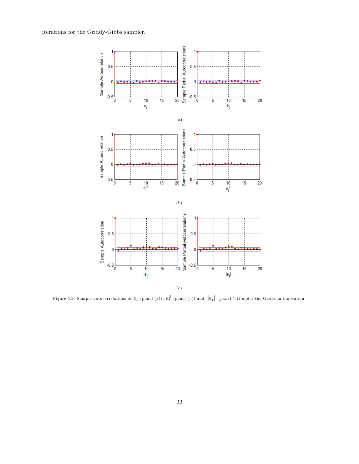iterations for the Griddy-Gibbs sampler.



Figure 5.3. Sample autocorrelations of  $e_t$  (panel (a)),  $e_t^2$  (panel (b)) and  $|e_t|$  (panel (c)) under the Gaussian innovation.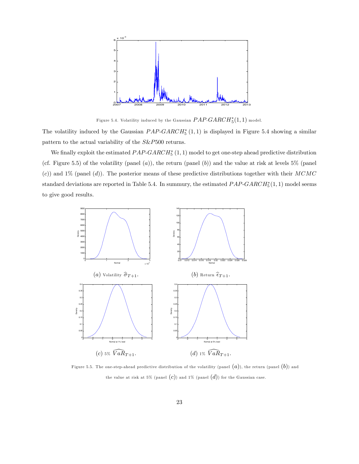

Figure 5.4. Volatility induced by the Gaussian  $PAP\text{-}GARCH_5^*(1,1)$  model.

The volatility induced by the Gaussian  $PAP\text{-}GARCH_5^*(1,1)$  is displayed in Figure 5.4 showing a similar pattern to the actual variability of the S&P500 returns.

We finally exploit the estimated  $PAP\text{-}GARCH_5^*(1,1)$  model to get one-step ahead predictive distribution (cf. Figure 5.5) of the volatility (panel  $(a)$ ), the return (panel  $(b)$ ) and the value at risk at levels 5% (panel (c)) and 1% (panel (d)). The posterior means of these predictive distributions together with their  $MCMC$ standard deviations are reported in Table 5.4. In summury, the estimated  $PAP\text{-}GARCH_5^*(1,1)$  model seems to give good results.



Figure 5.5. The one-step-ahead predictive distribution of the volatility (panel  $(a)$ ), the return (panel  $(b)$ ) and the value at risk at 5% (panel  $(c)$ ) and 1% (panel  $(d)$ ) for the Gaussian case.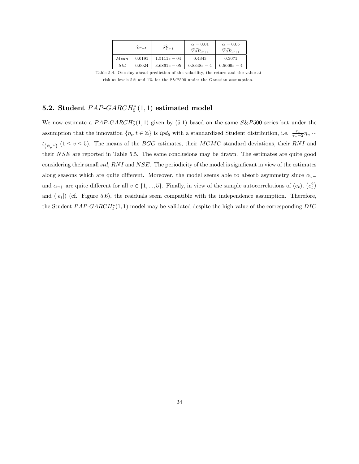|      | $\widehat{\epsilon}_{T+1}$ | $\widehat{\sigma}_{T+1}^2$ | $\alpha=0.01$<br>$VaR_{T+1}$ | $\alpha = 0.05$<br>$\widehat{VaR}_{T+1}$ |
|------|----------------------------|----------------------------|------------------------------|------------------------------------------|
| Mean | 0.0191                     | $1.5111e - 04$             | 0.4343                       | 0.3071                                   |
| Std  | 0.0024                     | $3.6861e - 05$             | $0.8348e - 4$                | $0.5009e-4$                              |

Table 5.4. One day-ahead prediction of the volatility, the return and the value at risk at levels 5% and 1% for the S&P500 under the Gaussian assumption.

## 5.2. Student  $PAP\text{-}GARCH_5^*(1,1)$  estimated model

We now estimate a  $PAP\text{-}GARCH_5^*(1,1)$  given by  $(5.1)$  based on the same  $S\&P500$  series but under the assumption that the innovation  $\{\eta_t, t \in \mathbb{Z}\}$  is  $ipd_5$  with a standardized Student distribution, i.e.  $\frac{\tau_v}{\tau_v - 2} \eta_v \sim$  $t_{(\psi_v^{-1})}$  (1  $\leq$  v  $\leq$  5). The means of the *BGG* estimates, their *MCMC* standard deviations, their *RNI* and their NSE are reported in Table 5.5. The same conclusions may be drawn. The estimates are quite good considering their small std, RNI and NSE. The periodicity of the model is significant in view of the estimates along seasons which are quite different. Moreover, the model seems able to absorb asymmetry since  $\alpha_{v-}$ and  $\alpha_{v+}$  are quite different for all  $v \in \{1, ..., 5\}$ . Finally, in view of the sample autocorrelations of  $(e_t)$ ,  $(e_t^2)$ and  $(|e_t|)$  (cf. Figure 5.6), the residuals seem compatible with the independence assumption. Therefore, the Student  $PAP\text{-}GARCH_5^*(1,1)$  model may be validated despite the high value of the corresponding  $DIC$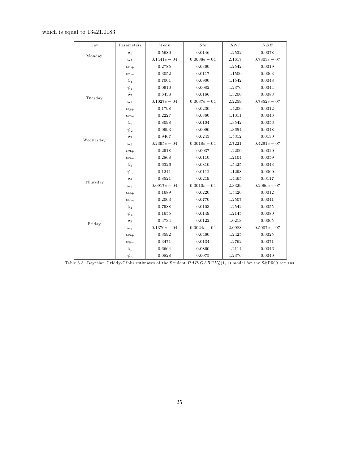#### which is equal to  $13421.0183.$

:

| $_{\text{Day}}$ | Parameters                | Mean           | Std            | RNI    | NSE            |
|-----------------|---------------------------|----------------|----------------|--------|----------------|
|                 | $\delta_1$                | 0.5680         | 0.0146         | 4.2532 | 0.0078         |
| Monday          | $\omega_1$                | $0.1441e - 04$ | $0.0038e - 04$ | 2.1617 | $0.7803e - 07$ |
|                 | $\alpha_{1+}$             | 0.2785         | 0.0360         | 4.2542 | 0.0019         |
|                 | $\alpha_1$ -              | 0.3052         | 0.0117         | 4.1500 | 0.0063         |
|                 | $\beta_1$                 | 0.7001         | 0.0900         | 4.1542 | 0.0048         |
|                 | $\psi_1$                  | 0.0910         | 0.0082         | 4.2376 | 0.0044         |
| Tuesday         | $\delta_2$                | 0.6438         | 0.0166         | 4.3200 | 0.0088         |
|                 | $\omega_2$                | $0.1027e - 04$ | $0.0037e - 04$ | 2.2259 | $0.7852e - 07$ |
|                 | $\alpha_{2+}$             | 0.1798         | 0.0230         | 4.4200 | 0.0012         |
|                 | $\alpha_{2}$ <sub>-</sub> | 0.2227         | 0.0860         | 4.1011 | 0.0046         |
|                 | $\beta_2$                 | 0.8098         | 0.0104         | 4.3542 | 0.0056         |
|                 | $\psi_2$                  | 0.0993         | 0.0090         | 4.3654 | 0.0048         |
| Wednesday       | $\delta_3$                | 0.9467         | 0.0243         | 4.5312 | 0.0130         |
|                 | $\omega_3$                | $0.2395e - 04$ | $0.0018e - 04$ | 2.7221 | $0.4291e - 07$ |
|                 | $\alpha_{3+}$             | 0.2918         | 0.0037         | 4.2200 | 0.0020         |
|                 | $\alpha_{3-}$             | 0.2868         | 0.0110         | 4.2104 | 0.0059         |
|                 | $\beta_3$                 | 0.6326         | 0.0810         | 4.5425 | 0.0043         |
|                 | $\psi_3$                  | 0.1241         | 0.0112         | 4.1298 | 0.0060         |
| Thursday        | $\delta_4$                | 0.8521         | 0.0219         | 4.4465 | 0.0117         |
|                 | $\omega_4$                | $0.0917e - 04$ | $0.0010e - 04$ | 2.3329 | $0.2066e - 07$ |
|                 | $\alpha_{4+}$             | 0.1689         | 0.0220         | 4.5420 | 0.0012         |
|                 | $\alpha_{4-}$             | 0.2003         | 0.0770         | 4.2507 | 0.0041         |
|                 | $\beta_4$                 | 0.7988         | 0.0103         | 4.2542 | 0.0055         |
|                 | $\psi_4$                  | 0.1655         | 0.0149         | 4.2145 | 0.0080         |
| Friday          | $\delta_{5}$              | 0.4734         | 0.0122         | 4.0213 | 0.0065         |
|                 | $\omega_5$                | $0.1376e - 04$ | $0.0024e - 04$ | 2.0988 | $0.5007e - 07$ |
|                 | $\alpha_{5+}$             | 0.3592         | 0.0460         | 4.2425 | 0.0025         |
|                 | $\alpha_{5-}$             | 0.3471         | 0.0134         | 4.2762 | 0.0071         |
|                 | $\beta_5$                 | 0.6664         | 0.0860         | 4.2114 | 0.0046         |
|                 | $\psi_5$                  | 0.0828         | 0.0075         | 4.2376 | 0.0040         |

|  |  |  |  |  |  |  |  | Table 5.5. Bayesian Griddy-Gibbs estimates of the Student $PAP-GARCH5*(1,1)$ model for the S&P500 returns. |  |  |  |  |  |
|--|--|--|--|--|--|--|--|------------------------------------------------------------------------------------------------------------|--|--|--|--|--|
|--|--|--|--|--|--|--|--|------------------------------------------------------------------------------------------------------------|--|--|--|--|--|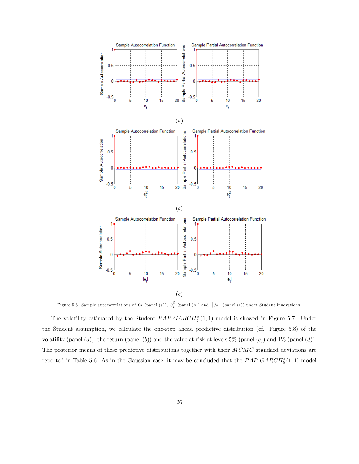

Figure 5.6. Sample autocorrelations of  $e_t$  (panel (a)),  $e_t^2$  (panel (b)) and  $|e_t|$  (panel (c)) under Student innovations.

The volatility estimated by the Student  $PAP\text{-}GARCH_5^*(1,1)$  model is showed in Figure 5.7. Under the Student assumption, we calculate the one-step ahead predictive distribution (cf. Figure 5.8) of the volatility (panel  $(a)$ ), the return (panel  $(b)$ ) and the value at risk at levels 5% (panel  $(c)$ ) and 1% (panel  $(d)$ ). The posterior means of these predictive distributions together with their MCMC standard deviations are reported in Table 5.6. As in the Gaussian case, it may be concluded that the  $PAP\text{-}GARCH_5^*(1,1)$  model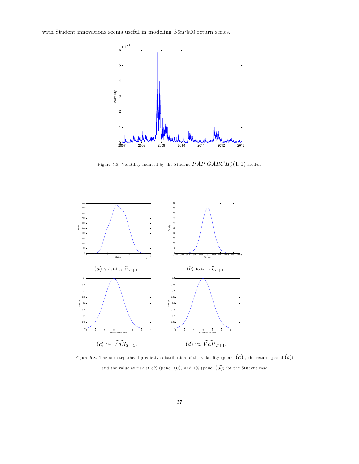with Student innovations seems useful in modeling  $S\&P500$  return series.



Figure 5.8. Volatility induced by the Student  $PAP\text{-}GARCH_5^*(1,1)$  model.



Figure 5.8. The one-step-ahead predictive distribution of the volatility (panel  $(a)$ ), the return (panel  $(b)$ ) and the value at risk at 5% (panel  $(c)$ ) and 1% (panel  $(d)$ ) for the Student case.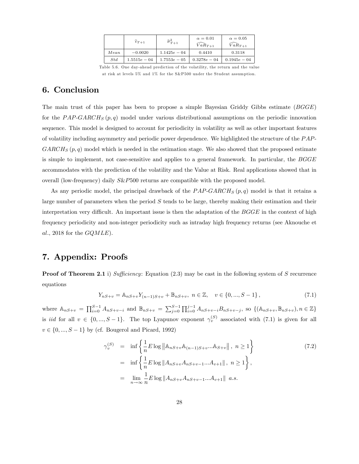|          | $\widehat{\epsilon}_{T+1}$ | $\hat{\sigma}_{T+1}^2$ | $\alpha = 0.01$<br>$\widetilde{VaR}_{T+1}$ | $\alpha = 0.05$<br>$\widehat{VaR}_{T+1}$ |
|----------|----------------------------|------------------------|--------------------------------------------|------------------------------------------|
| Mean     | $-0.0020$                  | $1.1425e - 04$         | 0.4410                                     | 0.3118                                   |
| $^{Std}$ | $1.5515e - 04$             | $1.7553e - 05$         | $0.3278e - 04$                             | $0.1945e - 04$                           |

Table 5.6. One day-ahead prediction of the volatility, the return and the value at risk at levels 5% and 1% for the S&P500 under the Student assumption.

## 6. Conclusion

The main trust of this paper has been to propose a simple Bayesian Griddy Gibbs estimate (BGGE) for the PAP-GARCH<sub>S</sub>  $(p, q)$  model under various distributional assumptions on the periodic innovation sequence. This model is designed to account for periodicity in volatility as well as other important features of volatility including asymmetry and periodic power dependence. We highlighted the structure of the PAP- $GARCH_S(p,q)$  model which is needed in the estimation stage. We also showed that the proposed estimate is simple to implement, not case-sensitive and applies to a general framework. In particular, the BGGE accommodates with the prediction of the volatility and the Value at Risk. Real applications showed that in overall (low-frequency) daily S&P500 returns are compatible with the proposed model.

As any periodic model, the principal drawback of the  $PAP-GARCH<sub>S</sub>(p,q)$  model is that it retains a large number of parameters when the period  $S$  tends to be large, thereby making their estimation and their interpretation very difficult. An important issue is then the adaptation of the  $BGGE$  in the context of high frequency periodicity and non-integer periodicity such as intraday high frequency returns (see Aknouche et al., 2018 for the  $GQMLE$ ).

## 7. Appendix: Proofs

**Proof of Theorem 2.1** i) Sufficiency: Equation  $(2.3)$  may be cast in the following system of S recurrence equations

$$
Y_{nS+v} = \mathbb{A}_{nS+v} Y_{(n-1)S+v} + \mathbb{B}_{nS+v}, \ n \in \mathbb{Z}, \quad v \in \{0, ..., S-1\},
$$
\n(7.1)

where  $\mathbb{A}_{nS+v} = \prod_{i=0}^{S-1} A_{nS+v-i}$  and  $\mathbb{B}_{nS+v} = \sum_{j=0}^{S-1} \prod_{i=0}^{j-1} A_{nS+v-i} B_{nS+v-j}$ , so  $\{(\mathbb{A}_{nS+v}, \mathbb{B}_{nS+v}), n \in \mathbb{Z}\}\$ is *iid* for all  $v \in \{0, ..., S - 1\}$ . The top Lyapunov exponent  $\gamma_v^{(S)}$  associated with (7.1) is given for all  $v \in \{0, ..., S - 1\}$  by (cf. Bougerol and Picard, 1992)

$$
\gamma_v^{(S)} = \inf \left\{ \frac{1}{n} E \log \|\mathbb{A}_{nS+v} \mathbb{A}_{(n-1)S+v} ... \mathbb{A}_{S+v} \|, n \ge 1 \right\}
$$
\n
$$
= \inf \left\{ \frac{1}{n} E \log \|\mathbb{A}_{nS+v} \mathbb{A}_{nS+v-1} ... \mathbb{A}_{v+1} \|, n \ge 1 \right\},
$$
\n
$$
= \lim_{n \to \infty} \frac{1}{n} E \log \|\mathbb{A}_{nS+v} \mathbb{A}_{nS+v-1} ... \mathbb{A}_{v+1} \| \text{ a.s.}
$$
\n(7.2)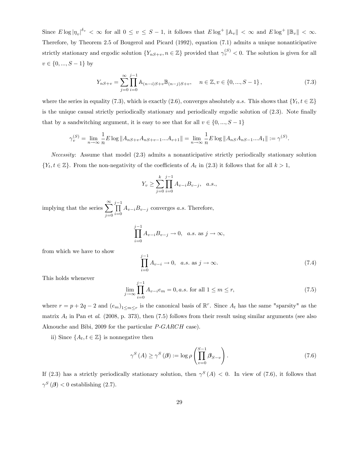Since  $E \log |\eta_v|^{\delta_v} < \infty$  for all  $0 \le v \le S - 1$ , it follows that  $E \log^+ ||\mathbb{A}_v|| < \infty$  and  $E \log^+ ||\mathbb{B}_v|| < \infty$ . Therefore, by Theorem 2.5 of Bougerol and Picard (1992), equation (7:1) admits a unique nonanticipative strictly stationary and ergodic solution  $\{Y_{nS+v}, n \in \mathbb{Z}\}\$  provided that  $\gamma_v^{(S)} < 0$ . The solution is given for all  $v \in \{0, ..., S - 1\}$  by

$$
Y_{nS+v} = \sum_{j=0}^{\infty} \prod_{i=0}^{j-1} \mathbb{A}_{(n-i)S+v} \mathbb{B}_{(n-j)S+v}, \quad n \in \mathbb{Z}, v \in \{0, ..., S-1\},
$$
 (7.3)

where the series in equality (7.3), which is exactly (2.6), converges absolutely a.s. This shows that  $\{Y_t, t \in \mathbb{Z}\}\$ is the unique causal strictly periodically stationary and periodically ergodic solution of  $(2.3)$ . Note finally that by a sandwitching argument, it is easy to see that for all  $v \in \{0, ..., S - 1\}$ 

$$
\gamma_v^{(S)} = \lim_{n \to \infty} \frac{1}{n} E \log \|A_{nS+v} A_{nS+v-1} ... A_{v+1}\| = \lim_{n \to \infty} \frac{1}{n} E \log \|A_{nS} A_{nS-1} ... A_1\| := \gamma^{(S)}.
$$

Necessity: Assume that model (2:3) admits a nonanticipative strictly periodically stationary solution  $\{Y_t, t \in \mathbb{Z}\}\.$  From the non-negativity of the coefficients of  $A_t$  in (2.3) it follows that for all  $k > 1$ ,

$$
Y_v \ge \sum_{j=0}^k \prod_{i=0}^{j-1} A_{v-i} B_{v-j}, \quad a.s.,
$$

implying that the series  $\sum_{n=1}^{\infty}$  $j=0$  $\prod^{j-1}$  $\prod_{i=0} A_{v-i} B_{v-j}$  converges a.s. Therefore,

$$
\prod_{i=0}^{j-1} A_{v-i} B_{v-j} \to 0, \quad a.s. \text{ as } j \to \infty,
$$

from which we have to show

$$
\prod_{i=0}^{j-1} A_{v-i} \to 0, \quad a.s. \text{ as } j \to \infty.
$$
 (7.4)

This holds whenever

$$
\lim_{j \to \infty} \prod_{i=0}^{j-1} A_{v-i} e_m = 0, a.s. \text{ for all } 1 \le m \le r,
$$
\n(7.5)

where  $r = p + 2q - 2$  and  $(e_m)_{1 \le m \le r}$  is the canonical basis of  $\mathbb{R}^r$ . Since  $A_t$  has the same "sparsity" as the matrix  $A_t$  in Pan et al. (2008, p. 373), then (7.5) follows from their result using similar arguments (see also Aknouche and Bibi, 2009 for the particular P-GARCH case).

ii) Since  $\{A_t, t \in \mathbb{Z}\}\)$  is nonnegative then

$$
\gamma^{S}\left(A\right) \geq \gamma^{S}\left(\boldsymbol{\beta}\right) := \log \rho \left(\prod_{v=0}^{S-1} \boldsymbol{\beta}_{S-v}\right). \tag{7.6}
$$

If (2.3) has a strictly periodically stationary solution, then  $\gamma^S(A) < 0$ . In view of (7.6), it follows that  $\gamma^S(\boldsymbol{\beta})$  < 0 establishing (2.7).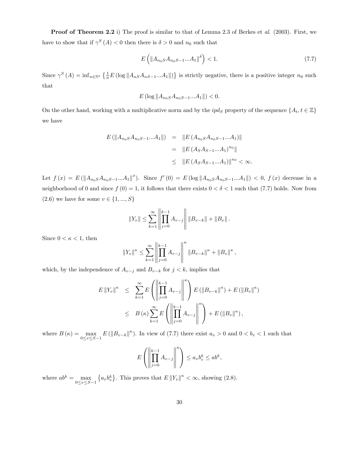Proof of Theorem 2.2 i) The proof is similar to that of Lemma 2.3 of Berkes et al. (2003). First, we have to show that if  $\gamma^S(A) < 0$  then there is  $\delta > 0$  and  $n_0$  such that

$$
E\left(\|A_{n_0S}A_{n_0S-1}...A_1\|^{\delta}\right) < 1.\tag{7.7}
$$

Since  $\gamma^S(A) = \inf_{n \in \mathbb{N}^*} \left\{ \frac{1}{n} E \left( \log \| A_{nS} A_{nS-1} ... A_1 \| \right) \right\}$  is strictly negative, there is a positive integer  $n_0$  such that

$$
E\left(\log \|A_{n_0S}A_{n_0S-1}...A_1\|\right) < 0.
$$

On the other hand, working with a multiplicative norm and by the  $ipd_S$  property of the sequence  $\{A_t, t \in \mathbb{Z}\}\$ we have

$$
E(||A_{n_0S}A_{n_0S-1}...A_1||) = ||E(A_{n_0S}A_{n_0S-1}...A_1)||
$$
  
=  $||E(A_SA_{S-1}...A_1)^{n_0}||$   
 $\leq ||E(A_SA_{S-1}...A_1)||^{n_0} < \infty.$ 

Let  $f(x) = E(||A_{n_0S}A_{n_0S-1}...A_1||^x)$ . Since  $f'(0) = E(\log ||A_{n_0S}A_{n_0S-1}...A_1||) < 0$ ,  $f(x)$  decrease in a neighborhood of 0 and since  $f(0) = 1$ , it follows that there exists  $0 < \delta < 1$  such that (7.7) holds. Now from (2.6) we have for some  $v \in \{1, ..., S\}$ 

$$
||Y_v|| \leq \sum_{k=1}^{\infty} \left\| \prod_{j=0}^{k-1} A_{v-j} \right\| ||B_{v-k}|| + ||B_v||.
$$

Since  $0 < \kappa < 1$ , then

$$
||Y_v||^{\kappa} \leq \sum_{k=1}^{\infty} \left\| \prod_{j=0}^{k-1} A_{v-j} \right\|^{\kappa} ||B_{v-k}||^{\kappa} + ||B_v||^{\kappa},
$$

which, by the independence of  $A_{v-j}$  and  $B_{v-k}$  for  $j < k$ , implies that

$$
E ||Y_v||^{\kappa} \leq \sum_{k=1}^{\infty} E \left( \left\| \prod_{j=0}^{k-1} A_{v-j} \right\|^{k} \right) E (||B_{v-k}||^{\kappa}) + E (||B_v||^{\kappa})
$$
  

$$
\leq B(\kappa) \sum_{k=1}^{\infty} E \left( \left\| \prod_{j=0}^{k-1} A_{v-j} \right\|^{k} \right) + E (||B_v||^{\kappa}),
$$

where  $B(\kappa) = \max_{0 \le v \le S-1} E(||B_{v-k}||^{\kappa})$ . In view of (7.7) there exist  $a_v > 0$  and  $0 < b_v < 1$  such that

$$
E\left(\left\|\prod_{j=0}^{k-1} A_{v-j}\right\|^{\kappa}\right) \leq a_v b_v^k \leq ab^k,
$$

where  $ab^k = \max_{0 \le v \le S-1}$  $\{a_v b_v^k\}$ . This proves that  $E ||Y_v||^{\kappa} < \infty$ , showing (2.8).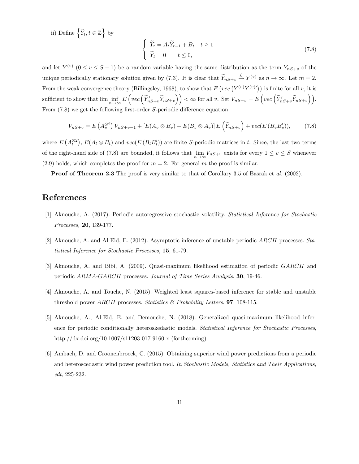ii) Define  $\left\{ \widetilde{Y}_{t},t\in\mathbb{Z}\right\}$  by

$$
\begin{cases} \tilde{Y}_t = A_t \tilde{Y}_{t-1} + B_t & t \ge 1 \\ \tilde{Y}_t = 0 & t \le 0, \end{cases}
$$
\n(7.8)

and let  $Y^{(v)}$   $(0 \le v \le S - 1)$  be a random variable having the same distribution as the term  $Y_{nS+v}$  of the unique periodically stationary solution given by (7.3). It is clear that  $Y_{nS+v} \stackrel{L}{\rightarrow} Y^{(v)}$  as  $n \to \infty$ . Let  $m = 2$ . From the weak convergence theory (Billingsley, 1968), to show that  $E\left(vec\left(Y^{(v)}Y^{(v)}\right)\right)$  is finite for all v, it is sufficient to show that  $\lim_{n\to\infty} E\left( vec\left(\widetilde{Y}'_{nS+v}\widetilde{Y}_{nS+v}\right)\right) < \infty$  for all v. Set  $V_{nS+v} = E\left( vec\left(\widetilde{Y}'_{nS+v}\widetilde{Y}_{nS+v}\right)\right)$ . From  $(7.8)$  we get the following first-order S-periodic difference equation

$$
V_{nS+v} = E\left(A_v^{\otimes 2}\right) V_{nS+v-1} + \left[E(A_v \otimes B_v) + E(B_v \otimes A_v)\right] E\left(\widetilde{Y}_{nS+v}\right) + vec(E\left(B_v B_v'\right)),\tag{7.8}
$$

where  $E(A_t^{\otimes 2}), E(A_t \otimes B_t)$  and  $vec(E(B_t B_t'))$  are finite S-periodic matrices in t. Since, the last two terms of the right-hand side of (7.8) are bounded, it follows that  $\lim_{n\to\infty} V_{nS+v}$  exists for every  $1 \le v \le S$  whenever (2.9) holds, which completes the proof for  $m = 2$ . For general m the proof is similar.

**Proof of Theorem 2.3** The proof is very similar to that of Corollary 3.5 of Basrak et al. (2002).

## References

- [1] Aknouche, A. (2017). Periodic autoregressive stochastic volatility. Statistical Inference for Stochastic Processes, 20, 139-177.
- [2] Aknouche, A. and Al-Eid, E. (2012). Asymptotic inference of unstable periodic ARCH processes. Statistical Inference for Stochastic Processes, 15, 61-79.
- [3] Aknouche, A. and Bibi, A. (2009). Quasi-maximum likelihood estimation of periodic GARCH and periodic ARMA-GARCH processes. Journal of Time Series Analysis, 30, 19-46.
- [4] Aknouche, A. and Touche, N. (2015). Weighted least squares-based inference for stable and unstable threshold power ARCH processes. Statistics  $\mathcal{B}$  Probability Letters, 97, 108-115.
- [5] Aknouche, A., Al-Eid, E. and Demouche, N. (2018). Generalized quasi-maximum likelihood inference for periodic conditionally heteroskedastic models. Statistical Inference for Stochastic Processes, http://dx.doi.org/10.1007/s11203-017-9160-x (forthcoming).
- [6] Ambach, D. and Croonenbroeck, C. (2015). Obtaining superior wind power predictions from a periodic and heteroscedastic wind power prediction tool. In Stochastic Models, Statistics and Their Applications, edt, 225-232.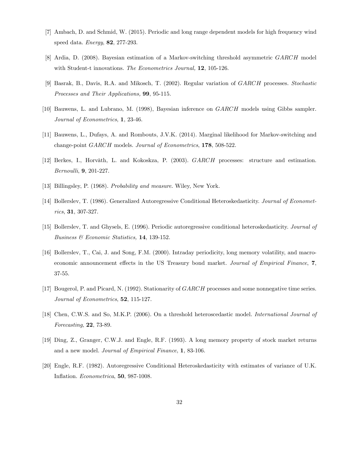- [7] Ambach, D. and Schmid, W. (2015). Periodic and long range dependent models for high frequency wind speed data. Energy, 82, 277-293.
- [8] Ardia, D. (2008). Bayesian estimation of a Markov-switching threshold asymmetric GARCH model with Student-t innovations. The Econometrics Journal, 12, 105-126.
- [9] Basrak, B., Davis, R.A. and Mikosch, T. (2002). Regular variation of GARCH processes. Stochastic Processes and Their Applications, 99, 95-115.
- [10] Bauwens, L. and Lubrano, M. (1998), Bayesian inference on GARCH models using Gibbs sampler. Journal of Econometrics, 1, 23-46.
- [11] Bauwens, L., Dufays, A. and Rombouts, J.V.K. (2014). Marginal likelihood for Markov-switching and change-point GARCH models. Journal of Econometrics, 178, 508-522.
- [12] Berkes, I., Horvàth, L. and Kokoskza, P. (2003). GARCH processes: structure and estimation. Bernoulli, 9, 201-227.
- [13] Billingsley, P. (1968). Probability and measure. Wiley, New York.
- [14] Bollerslev, T. (1986). Generalized Autoregressive Conditional Heteroskedasticity. Journal of Econometrics, 31, 307-327.
- [15] Bollerslev, T. and Ghysels, E. (1996). Periodic autoregressive conditional heteroskedasticity. Journal of Business & Economic Statistics, 14, 139-152.
- [16] Bollerslev, T., Cai, J. and Song, F.M. (2000). Intraday periodicity, long memory volatility, and macroeconomic announcement effects in the US Treasury bond market. Journal of Empirical Finance, 7, 37-55.
- [17] Bougerol, P. and Picard, N. (1992). Stationarity of GARCH processes and some nonnegative time series. Journal of Econometrics, **52**, 115-127.
- [18] Chen, C.W.S. and So, M.K.P. (2006). On a threshold heteroscedastic model. International Journal of Forecasting, 22, 73-89.
- [19] Ding, Z., Granger, C.W.J. and Engle, R.F. (1993). A long memory property of stock market returns and a new model. Journal of Empirical Finance, 1, 83-106.
- [20] Engle, R.F. (1982). Autoregressive Conditional Heteroskedasticity with estimates of variance of U.K. Inflation. Econometrica, **50**, 987-1008.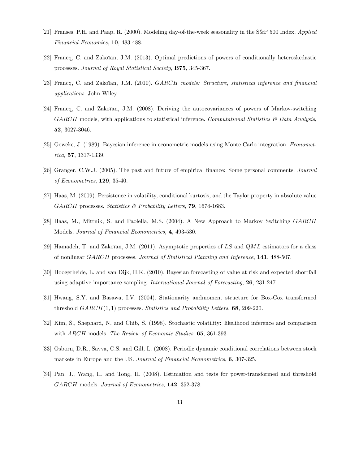- [21] Franses, P.H. and Paap, R. (2000). Modeling day-of-the-week seasonality in the S&P 500 Index. Applied Financial Economics, 10, 483-488.
- [22] Francq, C. and Zakoïan, J.M. (2013). Optimal predictions of powers of conditionally heteroskedastic processes. Journal of Royal Statistical Society, B75, 345-367.
- [23] Francq, C. and Zakoïan, J.M. (2010). GARCH models: Structure, statistical inference and financial applications. John Wiley.
- [24] Francq, C. and Zakoïan, J.M. (2008). Deriving the autocovariances of powers of Markov-switching  $GARCH$  models, with applications to statistical inference. Computational Statistics  $\mathcal{B}$  Data Analysis, 52, 3027-3046.
- [25] Geweke, J. (1989). Bayesian inference in econometric models using Monte Carlo integration. Econometrica, 57, 1317-1339.
- [26] Granger, C.W.J. (2005). The past and future of empirical finance: Some personal comments. Journal of Econometrics, 129, 35-40.
- [27] Haas, M. (2009). Persistence in volatility, conditional kurtosis, and the Taylor property in absolute value GARCH processes. Statistics & Probability Letters, 79, 1674-1683.
- [28] Haas, M., Mittnik, S. and Paolella, M.S. (2004). A New Approach to Markov Switching GARCH Models. Journal of Financial Econometrics, 4, 493-530.
- [29] Hamadeh, T. and Zakoïan, J.M. (2011). Asymptotic properties of LS and  $QML$  estimators for a class of nonlinear GARCH processes. Journal of Statistical Planning and Inference, 141, 488-507.
- [30] Hoogerheide, L. and van Dijk, H.K. (2010). Bayesian forecasting of value at risk and expected shortfall using adaptive importance sampling. International Journal of Forecasting, 26, 231-247.
- [31] Hwang, S.Y. and Basawa, I.V. (2004). Stationarity andmoment structure for Box-Cox transformed threshold  $GARCH(1, 1)$  processes. Statistics and Probability Letters, 68, 209-220.
- [32] Kim, S., Shephard, N. and Chib, S. (1998). Stochastic volatility: likelihood inference and comparison with ARCH models. The Review of Economic Studies. **65**, 361-393.
- [33] Osborn, D.R., Savva, C.S. and Gill, L. (2008). Periodic dynamic conditional correlations between stock markets in Europe and the US. Journal of Financial Econometrics, 6, 307-325.
- [34] Pan, J., Wang, H. and Tong, H. (2008). Estimation and tests for power-transformed and threshold GARCH models. Journal of Econometrics, 142, 352-378.